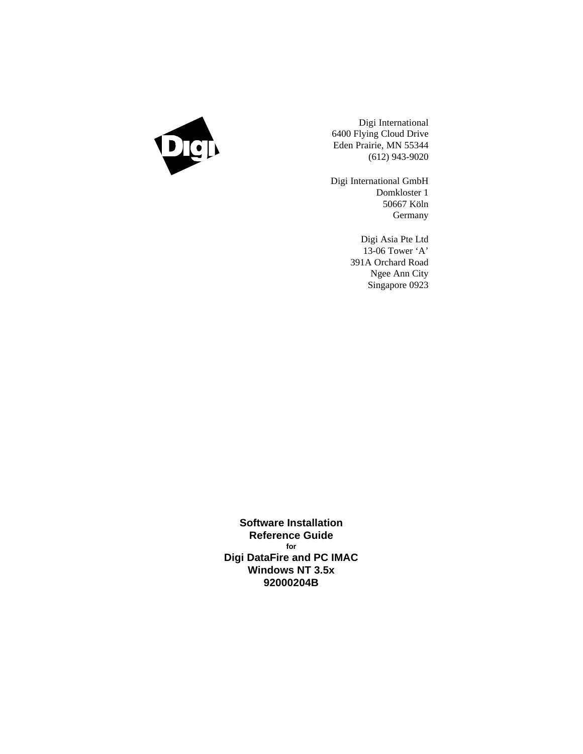

Digi International 6400 Flying Cloud Drive Eden Prairie, MN 55344 (612) 943-9020

Digi International GmbH Domkloster 1 50667 Köln Germany

> Digi Asia Pte Ltd 13-06 Tower 'A' 391A Orchard Road Ngee Ann City Singapore 0923

**Software Installation Reference Guide for Digi DataFire and PC IMAC Windows NT 3.5x 92000204B**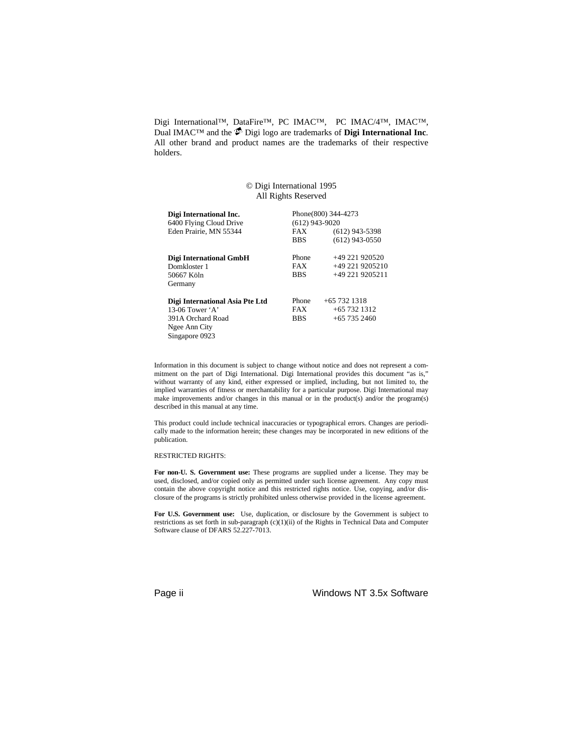Digi International™, DataFire™, PC IMAC™, PC IMAC/4™, IMAC™, Dual IMAC<sup>™</sup> and the **D**igi logo are trademarks of **Digi International Inc.** All other brand and product names are the trademarks of their respective holders.

#### © Digi International 1995 All Rights Reserved

| Digi International Inc.<br>6400 Flying Cloud Drive | Phone(800) 344-4273<br>$(612)$ 943-9020 |                  |  |
|----------------------------------------------------|-----------------------------------------|------------------|--|
| Eden Prairie, MN 55344                             | <b>FAX</b>                              | $(612)$ 943-5398 |  |
|                                                    | <b>BBS</b>                              | $(612)$ 943-0550 |  |
| Digi International GmbH                            | Phone                                   | +49 221 920520   |  |
| Domkloster 1                                       | FAX                                     | +49 221 9205210  |  |
| 50667 Köln                                         | <b>BBS</b>                              | +49 221 9205211  |  |
| Germany                                            |                                         |                  |  |
| Digi International Asia Pte Ltd                    | Phone                                   | $+657321318$     |  |
| 13-06 Tower 'A'                                    | FAX                                     | $+657321312$     |  |
| 391A Orchard Road                                  | <b>BBS</b>                              | $+65$ 735 2460   |  |
| Ngee Ann City                                      |                                         |                  |  |
| Singapore 0923                                     |                                         |                  |  |

Information in this document is subject to change without notice and does not represent a commitment on the part of Digi International. Digi International provides this document "as is," without warranty of any kind, either expressed or implied, including, but not limited to, the implied warranties of fitness or merchantability for a particular purpose. Digi International may make improvements and/or changes in this manual or in the product(s) and/or the program(s) described in this manual at any time.

This product could include technical inaccuracies or typographical errors. Changes are periodically made to the information herein; these changes may be incorporated in new editions of the publication.

#### RESTRICTED RIGHTS:

**For non-U. S. Government use:** These programs are supplied under a license. They may be used, disclosed, and/or copied only as permitted under such license agreement. Any copy must contain the above copyright notice and this restricted rights notice. Use, copying, and/or disclosure of the programs is strictly prohibited unless otherwise provided in the license agreement.

**For U.S. Government use:** Use, duplication, or disclosure by the Government is subject to restrictions as set forth in sub-paragraph (c)(1)(ii) of the Rights in Technical Data and Computer Software clause of DFARS 52.227-7013.

Page ii **Windows NT 3.5x Software**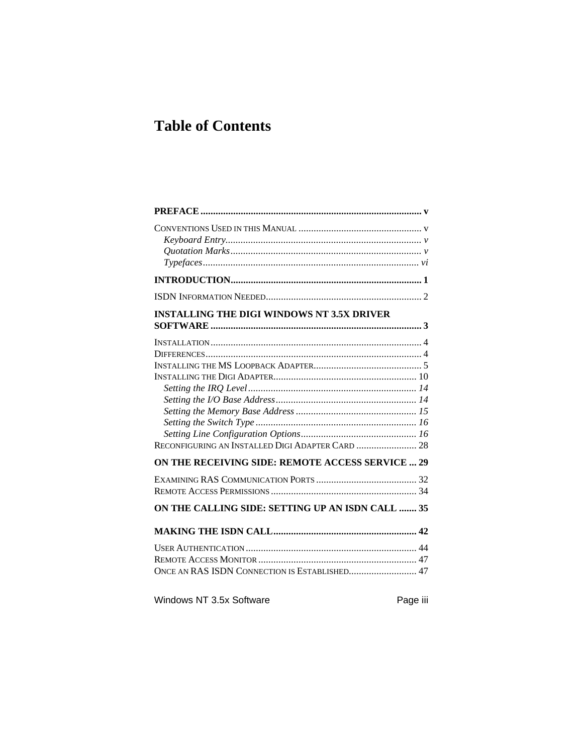# **Table of Contents**

| <b>INSTALLING THE DIGI WINDOWS NT 3.5X DRIVER</b> |  |
|---------------------------------------------------|--|
|                                                   |  |
|                                                   |  |
|                                                   |  |
|                                                   |  |
|                                                   |  |
|                                                   |  |
|                                                   |  |
|                                                   |  |
|                                                   |  |
| RECONFIGURING AN INSTALLED DIGI ADAPTER CARD  28  |  |
|                                                   |  |
| ON THE RECEIVING SIDE: REMOTE ACCESS SERVICE  29  |  |
|                                                   |  |
|                                                   |  |
| ON THE CALLING SIDE: SETTING UP AN ISDN CALL  35  |  |
|                                                   |  |
|                                                   |  |
|                                                   |  |
| ONCE AN RAS ISDN CONNECTION IS ESTABLISHED 47     |  |
|                                                   |  |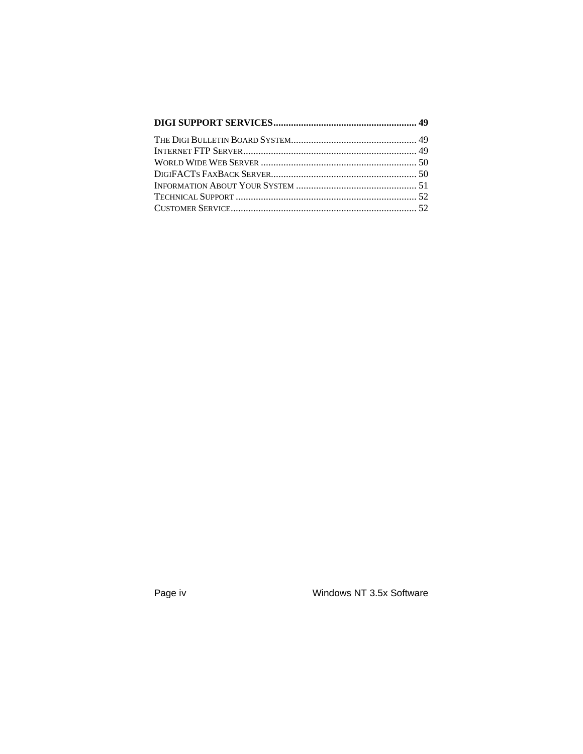Page iv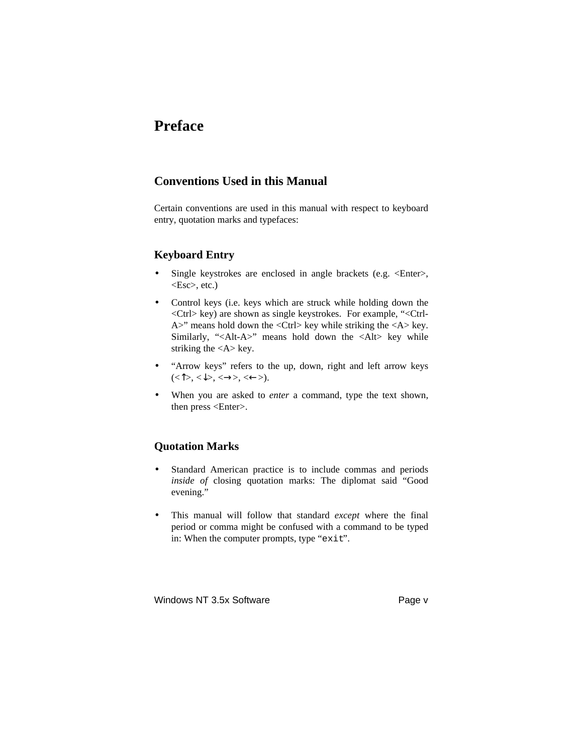## **Preface**

### **Conventions Used in this Manual**

Certain conventions are used in this manual with respect to keyboard entry, quotation marks and typefaces:

#### **Keyboard Entry**

- Single keystrokes are enclosed in angle brackets (e.g.  $\leq$ Enter>, <Esc>, etc.)
- Control keys (i.e. keys which are struck while holding down the <Ctrl> key) are shown as single keystrokes. For example, "<Ctrl-A>" means hold down the <Ctrl> key while striking the <A> key. Similarly, "<Alt-A>" means hold down the <Alt> key while striking the <A> key.
- "Arrow keys" refers to the up, down, right and left arrow keys  $(<\uparrow>, <\downarrow>, <\rightarrow>, <\rightarrow>, <<\downarrow>$ ).
- When you are asked to *enter* a command, type the text shown, then press <Enter>.

#### **Quotation Marks**

- Standard American practice is to include commas and periods *inside of* closing quotation marks: The diplomat said "Good evening."
- This manual will follow that standard *except* where the final period or comma might be confused with a command to be typed in: When the computer prompts, type "exit".

Windows NT 3.5x Software **Page v** Page v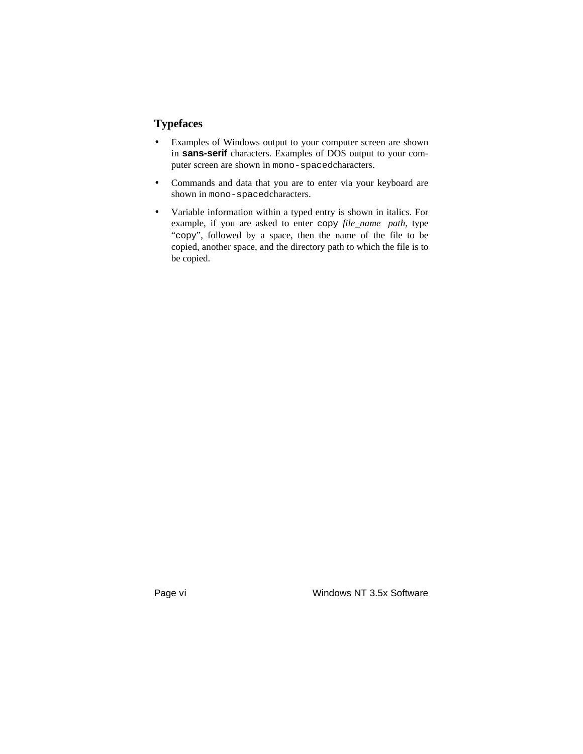## **Typefaces**

- Examples of Windows output to your computer screen are shown in **sans-serif** characters. Examples of DOS output to your computer screen are shown in mono-spaced characters.
- Commands and data that you are to enter via your keyboard are shown in mono-spaced characters.
- Variable information within a typed entry is shown in italics. For example, if you are asked to enter copy *file\_name path*, type "copy", followed by a space, then the name of the file to be copied, another space, and the directory path to which the file is to be copied.

Page vi **Page vi** Windows NT 3.5x Software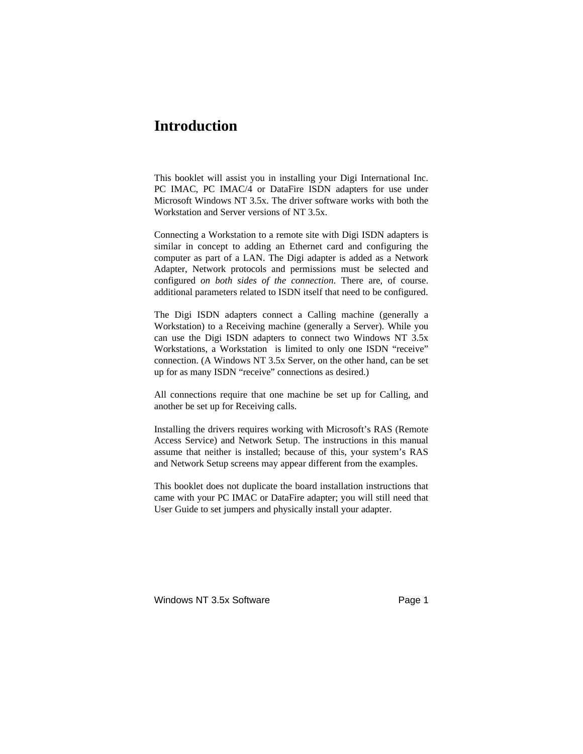## **Introduction**

This booklet will assist you in installing your Digi International Inc. PC IMAC, PC IMAC/4 or DataFire ISDN adapters for use under Microsoft Windows NT 3.5x. The driver software works with both the Workstation and Server versions of NT 3.5x.

Connecting a Workstation to a remote site with Digi ISDN adapters is similar in concept to adding an Ethernet card and configuring the computer as part of a LAN. The Digi adapter is added as a Network Adapter, Network protocols and permissions must be selected and configured *on both sides of the connection*. There are, of course. additional parameters related to ISDN itself that need to be configured.

The Digi ISDN adapters connect a Calling machine (generally a Workstation) to a Receiving machine (generally a Server). While you can use the Digi ISDN adapters to connect two Windows NT 3.5x Workstations, a Workstation is limited to only one ISDN "receive" connection. (A Windows NT 3.5x Server, on the other hand, can be set up for as many ISDN "receive" connections as desired.)

All connections require that one machine be set up for Calling, and another be set up for Receiving calls.

Installing the drivers requires working with Microsoft's RAS (Remote Access Service) and Network Setup. The instructions in this manual assume that neither is installed; because of this, your system's RAS and Network Setup screens may appear different from the examples.

This booklet does not duplicate the board installation instructions that came with your PC IMAC or DataFire adapter; you will still need that User Guide to set jumpers and physically install your adapter.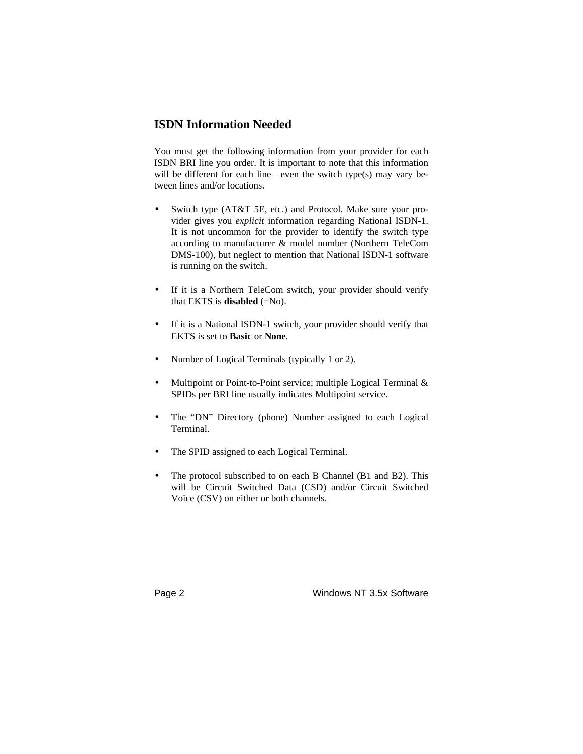## **ISDN Information Needed**

You must get the following information from your provider for each ISDN BRI line you order. It is important to note that this information will be different for each line—even the switch type(s) may vary between lines and/or locations.

- Switch type (AT&T 5E, etc.) and Protocol. Make sure your provider gives you *explicit* information regarding National ISDN-1. It is not uncommon for the provider to identify the switch type according to manufacturer & model number (Northern TeleCom DMS-100), but neglect to mention that National ISDN-1 software is running on the switch.
- If it is a Northern TeleCom switch, your provider should verify that EKTS is **disabled** (=No).
- If it is a National ISDN-1 switch, your provider should verify that EKTS is set to **Basic** or **None**.
- Number of Logical Terminals (typically 1 or 2).
- Multipoint or Point-to-Point service; multiple Logical Terminal & SPIDs per BRI line usually indicates Multipoint service.
- The "DN" Directory (phone) Number assigned to each Logical Terminal.
- The SPID assigned to each Logical Terminal.
- The protocol subscribed to on each B Channel (B1 and B2). This will be Circuit Switched Data (CSD) and/or Circuit Switched Voice (CSV) on either or both channels.

Page 2 Windows NT 3.5x Software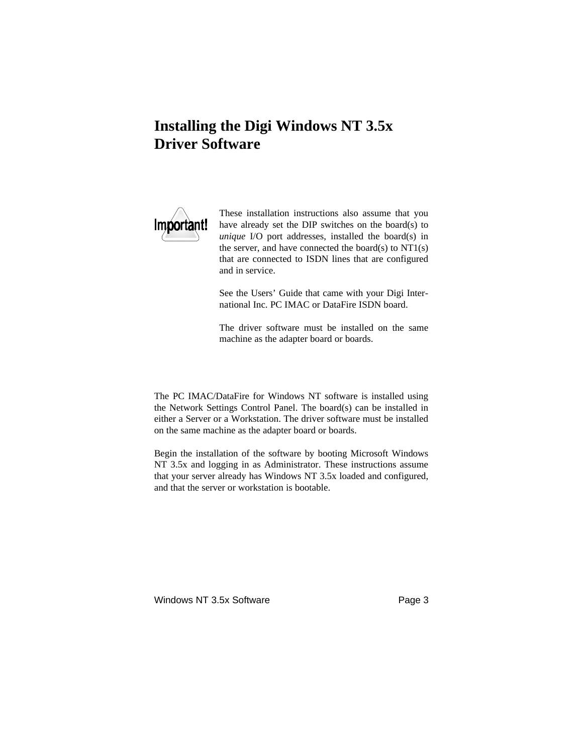## **Installing the Digi Windows NT 3.5x Driver Software**



These installation instructions also assume that you have already set the DIP switches on the board(s) to *unique* I/O port addresses, installed the board(s) in the server, and have connected the board $(s)$  to  $NT1(s)$ that are connected to ISDN lines that are configured and in service.

See the Users' Guide that came with your Digi International Inc. PC IMAC or DataFire ISDN board.

The driver software must be installed on the same machine as the adapter board or boards.

The PC IMAC/DataFire for Windows NT software is installed using the Network Settings Control Panel. The board(s) can be installed in either a Server or a Workstation. The driver software must be installed on the same machine as the adapter board or boards.

Begin the installation of the software by booting Microsoft Windows NT 3.5x and logging in as Administrator. These instructions assume that your server already has Windows NT 3.5x loaded and configured, and that the server or workstation is bootable.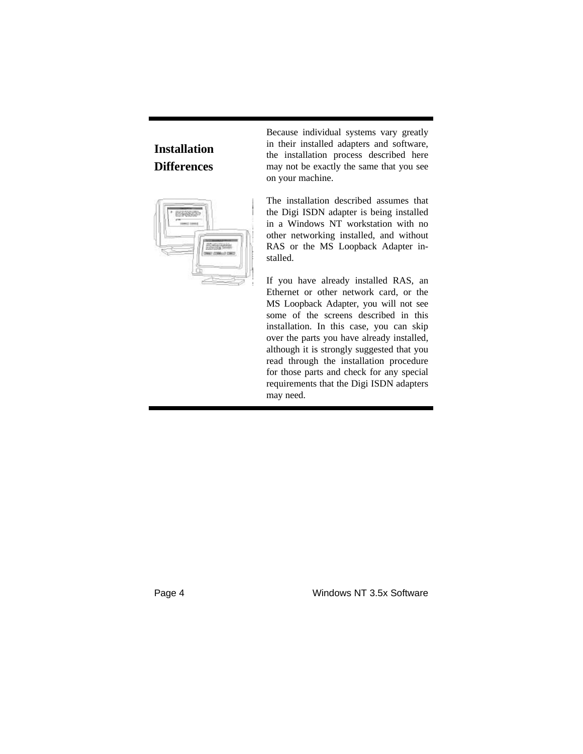## **Installation Differences**



Because individual systems vary greatly in their installed adapters and software, the installation process described here may not be exactly the same that you see on your machine.

The installation described assumes that the Digi ISDN adapter is being installed in a Windows NT workstation with no other networking installed, and without RAS or the MS Loopback Adapter installed.

If you have already installed RAS, an Ethernet or other network card, or the MS Loopback Adapter, you will not see some of the screens described in this installation. In this case, you can skip over the parts you have already installed, although it is strongly suggested that you read through the installation procedure for those parts and check for any special requirements that the Digi ISDN adapters may need.

Page 4 Windows NT 3.5x Software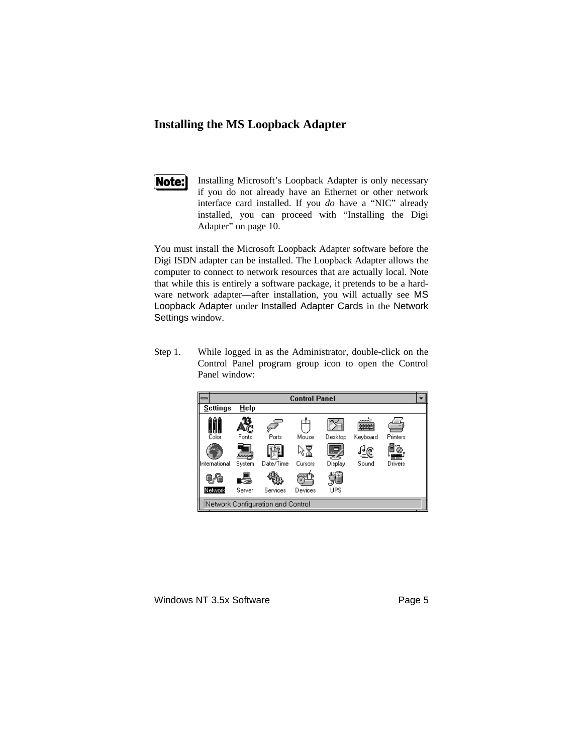### **Installing the MS Loopback Adapter**



Installing Microsoft's Loopback Adapter is only necessary if you do not already have an Ethernet or other network interface card installed. If you *do* have a "NIC" already installed, you can proceed with "Installing the Digi Adapter" on page 10.

You must install the Microsoft Loopback Adapter software before the Digi ISDN adapter can be installed. The Loopback Adapter allows the computer to connect to network resources that are actually local. Note that while this is entirely a software package, it pretends to be a hardware network adapter—after installation, you will actually see MS Loopback Adapter under Installed Adapter Cards in the Network Settings window.

Step 1. While logged in as the Administrator, double-click on the Control Panel program group icon to open the Control Panel window:

|               |        |                                   | <b>Control Panel</b> |            |               |                  |  |
|---------------|--------|-----------------------------------|----------------------|------------|---------------|------------------|--|
| Settings      | Help   |                                   |                      |            |               |                  |  |
| Color         | Fonts  | $\overline{\phantom{a}}$<br>Ports | Mouse                | Desktop    | Keyboard      | Printers         |  |
| International | System | Date/Time                         | ↸<br>Cursors         | Display    | ্ৰি©<br>Sound | minni<br>Drivers |  |
| Network       | Server | Services                          | Devices              | <b>UPS</b> |               |                  |  |
|               |        | Network Configuration and Control |                      |            |               |                  |  |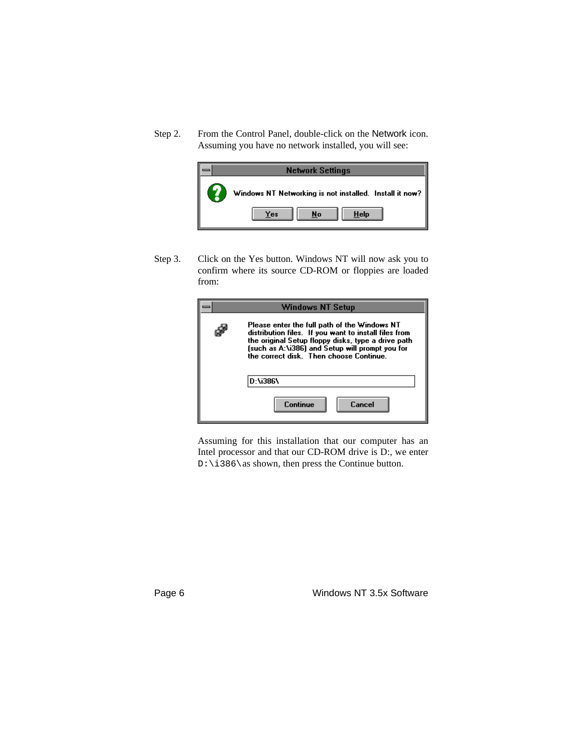Step 2. From the Control Panel, double-click on the Network icon. Assuming you have no network installed, you will see:



Step 3. Click on the Yes button. Windows NT will now ask you to confirm where its source CD-ROM or floppies are loaded from:

| <b>Windows NT Setup</b>                                                                                                                                                                                                                                 |
|---------------------------------------------------------------------------------------------------------------------------------------------------------------------------------------------------------------------------------------------------------|
| Please enter the full path of the Windows NT<br>distribution files. If you want to install files from<br>the original Setup floppy disks, type a drive path<br>(such as A:\i386) and Setup will prompt you for<br>the correct disk Then choose Continue |
| D:\i386\                                                                                                                                                                                                                                                |
| Continue<br>Cancel                                                                                                                                                                                                                                      |

Assuming for this installation that our computer has an Intel processor and that our CD-ROM drive is D:, we enter D: \i386\ as shown, then press the Continue button.

Page 6 Windows NT 3.5x Software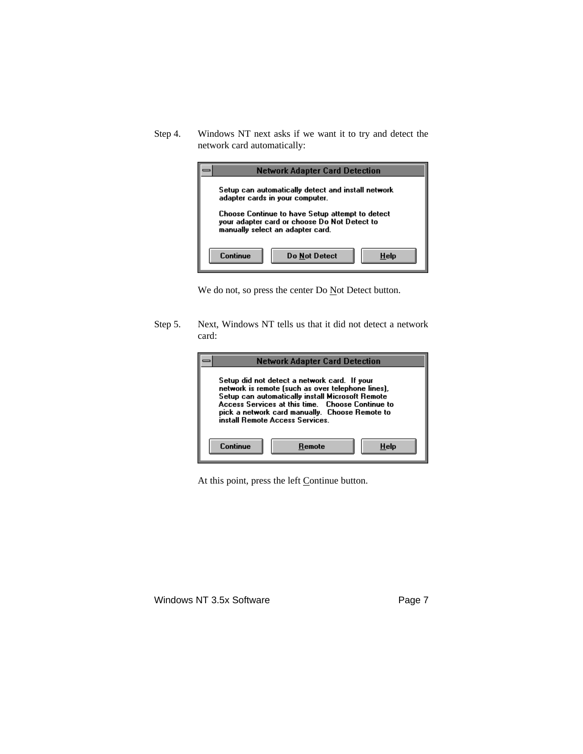Step 4. Windows NT next asks if we want it to try and detect the network card automatically:



We do not, so press the center Do Not Detect button.

Step 5. Next, Windows NT tells us that it did not detect a network card:



At this point, press the left Continue button.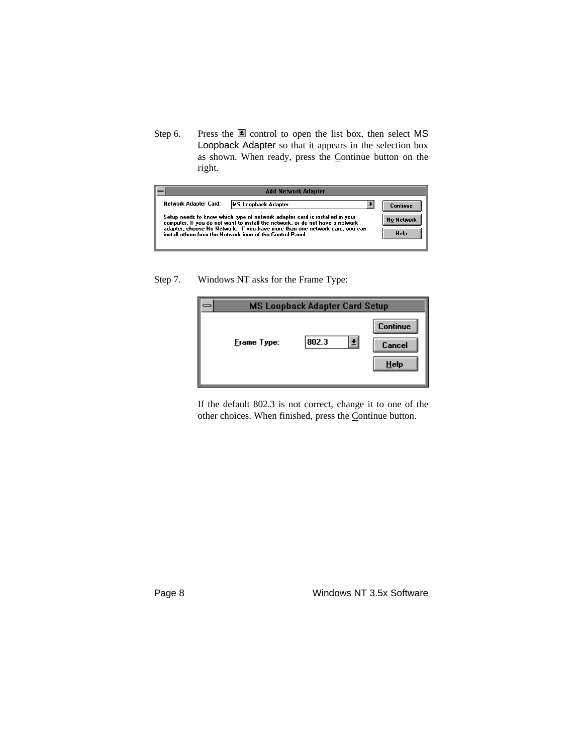Step 6. Press the **c** control to open the list box, then select  $MS$ Loopback Adapter so that it appears in the selection box as shown. When ready, press the Continue button on the right.

|                       | <b>Add Network Adapter</b>                                                                                                                                                                                                                                                                                |                           |
|-----------------------|-----------------------------------------------------------------------------------------------------------------------------------------------------------------------------------------------------------------------------------------------------------------------------------------------------------|---------------------------|
| Network Adapter Card: | <b>MS Loopback Adapter</b>                                                                                                                                                                                                                                                                                | Continue                  |
|                       | Setup needs to know which type of network adapter card is installed in your<br>computer. If you do not want to install the network, or do not have a network<br>adapter, choose No Network. If you have more than one network card, you can<br>install others from the Network icon of the Control Panel. | <b>No Network</b><br>Help |

Step 7. Windows NT asks for the Frame Type:

|                    | <b>MS Loopback Adapter Card Setup</b> |                                      |
|--------------------|---------------------------------------|--------------------------------------|
| <b>Frame Type:</b> | 802.3<br>固                            | <b>Continue</b><br>Cancel<br>$He$ lp |

If the default 802.3 is not correct, change it to one of the other choices. When finished, press the Continue button.

Page 8 Windows NT 3.5x Software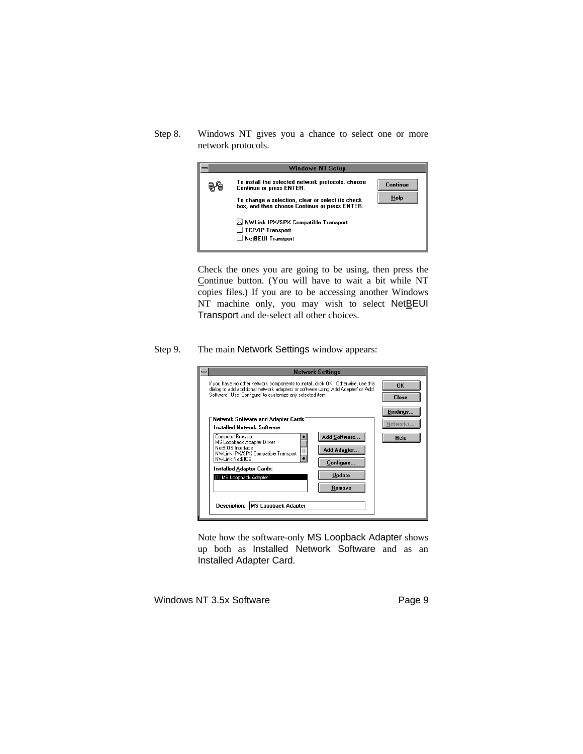Step 8. Windows NT gives you a chance to select one or more network protocols.



Check the ones you are going to be using, then press the Continue button. (You will have to wait a bit while NT copies files.) If you are to be accessing another Windows NT machine only, you may wish to select NetBEUI Transport and de-select all other choices.

Step 9. The main Network Settings window appears:



Note how the software-only MS Loopback Adapter shows up both as Installed Network Software and as an Installed Adapter Card.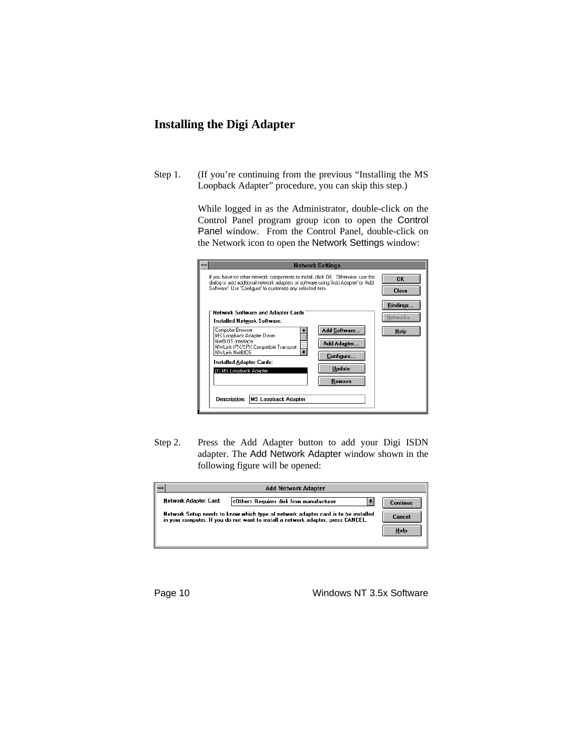## **Installing the Digi Adapter**

Step 1. (If you're continuing from the previous "Installing the MS Loopback Adapter" procedure, you can skip this step.)

> While logged in as the Administrator, double-click on the Control Panel program group icon to open the Control Panel window. From the Control Panel, double-click on the Network icon to open the Network Settings window:

|                                                                                                                                                                                                                                               | <b>Network Settings</b>                                             |                               |
|-----------------------------------------------------------------------------------------------------------------------------------------------------------------------------------------------------------------------------------------------|---------------------------------------------------------------------|-------------------------------|
| If you have no other network components to install, click OK. Otherwise, use this<br>dialog to add additional network adapters or software using 'Add Adapter' or 'Add<br>Software'. Use 'Configure' to customize any selected item.          |                                                                     | <b>OK</b><br><b>Close</b>     |
| Network Software and Adapter Cards<br>Installed Network Software:                                                                                                                                                                             |                                                                     | <b>Bindings.</b><br>Networks. |
| <b>Computer Browser</b><br>MS Loopback Adapter Driver<br>NetBIOS Interface<br>NWLink IPX/SPX Compatible Transport<br>$\bullet$<br>NWLink NetBIOS<br>Installed Adapter Cards:<br>11 MS Loopback Adapter<br>MS Loopback Adapter<br>Description: | Add Software<br>Add Adapter<br>Configure<br><b>Update</b><br>Remove | Help                          |

Step 2. Press the Add Adapter button to add your Digi ISDN adapter. The Add Network Adapter window shown in the following figure will be opened:

|                       | <b>Add Network Adapter</b>                                                                                                                                            |          |
|-----------------------|-----------------------------------------------------------------------------------------------------------------------------------------------------------------------|----------|
| Network Adapter Card: | <other> Requires disk from manufacturer</other>                                                                                                                       | Continue |
|                       | Network Setup needs to know which type of network adapter card is to be installed<br>in your computer. If you do not want to install a network adapter, press CANCEL. | Cancel   |
|                       |                                                                                                                                                                       | Help     |
|                       |                                                                                                                                                                       |          |

Page 10 **Windows NT 3.5x Software**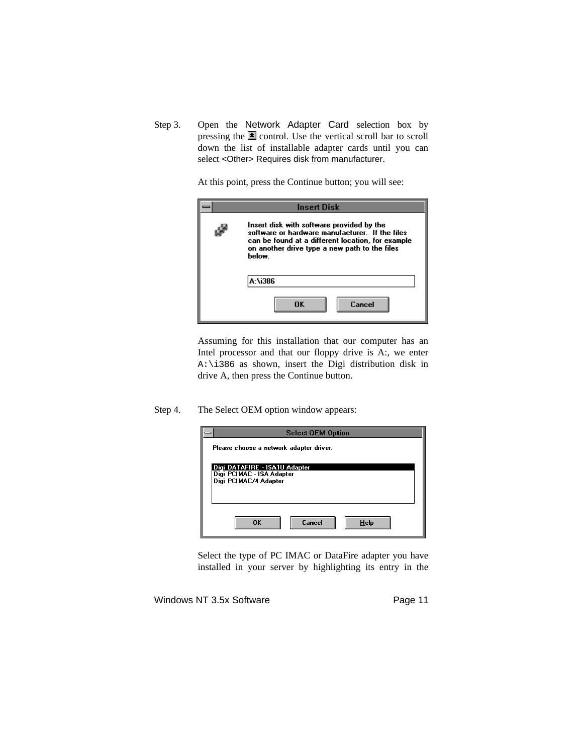Step 3. Open the Network Adapter Card selection box by pressing the  $\blacktriangleright$  control. Use the vertical scroll bar to scroll down the list of installable adapter cards until you can select <Other> Requires disk from manufacturer.

At this point, press the Continue button; you will see:

| <b>Insert Disk</b>                                                                                                                                                                                           |
|--------------------------------------------------------------------------------------------------------------------------------------------------------------------------------------------------------------|
| Insert disk with software provided by the<br>software or hardware manufacturer. If the files<br>can be found at a different location, for example<br>on another drive type a new path to the files<br>helow. |
| A:\i386                                                                                                                                                                                                      |
| Cancel<br>OK                                                                                                                                                                                                 |

Assuming for this installation that our computer has an Intel processor and that our floppy drive is A:, we enter A:\i386 as shown, insert the Digi distribution disk in drive A, then press the Continue button.

Step 4. The Select OEM option window appears:

| <b>Select OEM Option</b>                                                            |  |
|-------------------------------------------------------------------------------------|--|
| Please choose a network adapter driver.                                             |  |
| Digi DATAFIRE - ISA1U Adapter<br>Digi PCIMAC - ISA Adapter<br>Digi PCIMAC/4 Adapter |  |
| Cancel<br>Help<br><b>OK</b>                                                         |  |

Select the type of PC IMAC or DataFire adapter you have installed in your server by highlighting its entry in the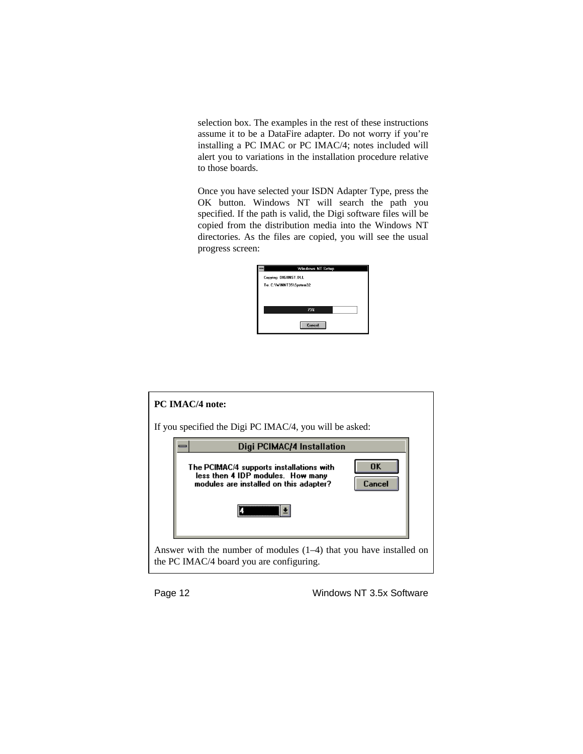selection box. The examples in the rest of these instructions assume it to be a DataFire adapter. Do not worry if you're installing a PC IMAC or PC IMAC/4; notes included will alert you to variations in the installation procedure relative to those boards.

Once you have selected your ISDN Adapter Type, press the OK button. Windows NT will search the path you specified. If the path is valid, the Digi software files will be copied from the distribution media into the Windows NT directories. As the files are copied, you will see the usual progress screen:

| <b>Windows NT Setup</b> |
|-------------------------|
| Copying: DIGIINST.DLL   |
| To: C:\WINNT35\System32 |
|                         |
|                         |
| 73%                     |
|                         |
| Cancel                  |
|                         |





Page 12 **Windows NT 3.5x Software**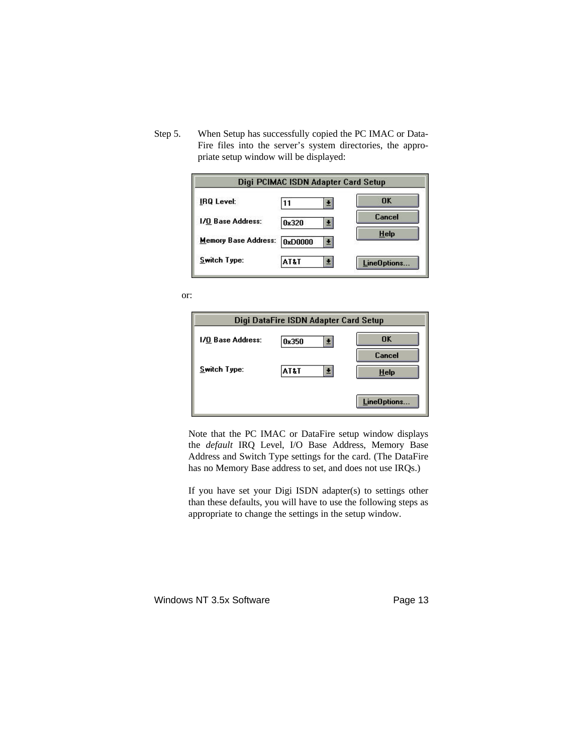Step 5. When Setup has successfully copied the PC IMAC or Data-Fire files into the server's system directories, the appropriate setup window will be displayed:

| Digi PCIMAC ISDN Adapter Card Setup |         |              |
|-------------------------------------|---------|--------------|
| <b>IRQ Level:</b>                   | וו      | 0K           |
| 1/0 Base Address:                   | 0x320   | Cancel       |
| <b>Memory Base Address:</b>         | 0xD0000 | <b>Help</b>  |
| <b>Switch Type:</b>                 | AT&T    | LineOptions. |

or:

| Digi DataFire ISDN Adapter Card Setup |                 |             |  |
|---------------------------------------|-----------------|-------------|--|
| <b>1/0 Base Address:</b>              | 0x350           | OK          |  |
|                                       |                 | Cancel      |  |
| Switch Type:                          | <b>AT&amp;T</b> | $He$ lp     |  |
|                                       |                 |             |  |
|                                       |                 | LineOptions |  |

Note that the PC IMAC or DataFire setup window displays the *default* IRQ Level, I/O Base Address, Memory Base Address and Switch Type settings for the card. (The DataFire has no Memory Base address to set, and does not use IRQs.)

If you have set your Digi ISDN adapter(s) to settings other than these defaults, you will have to use the following steps as appropriate to change the settings in the setup window.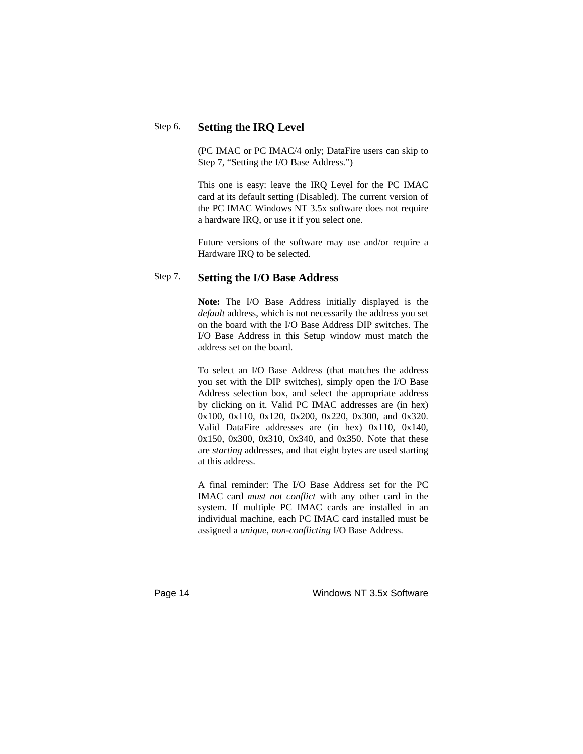### Step 6. **Setting the IRQ Level**

(PC IMAC or PC IMAC/4 only; DataFire users can skip to Step 7, "Setting the I/O Base Address.")

This one is easy: leave the IRQ Level for the PC IMAC card at its default setting (Disabled). The current version of the PC IMAC Windows NT 3.5x software does not require a hardware IRQ, or use it if you select one.

Future versions of the software may use and/or require a Hardware IRQ to be selected.

### Step 7. **Setting the I/O Base Address**

**Note:** The I/O Base Address initially displayed is the *default* address, which is not necessarily the address you set on the board with the I/O Base Address DIP switches. The I/O Base Address in this Setup window must match the address set on the board.

To select an I/O Base Address (that matches the address you set with the DIP switches), simply open the I/O Base Address selection box, and select the appropriate address by clicking on it. Valid PC IMAC addresses are (in hex) 0x100, 0x110, 0x120, 0x200, 0x220, 0x300, and 0x320. Valid DataFire addresses are (in hex) 0x110, 0x140, 0x150, 0x300, 0x310, 0x340, and 0x350. Note that these are *starting* addresses, and that eight bytes are used starting at this address.

A final reminder: The I/O Base Address set for the PC IMAC card *must not conflict* with any other card in the system. If multiple PC IMAC cards are installed in an individual machine, each PC IMAC card installed must be assigned a *unique, non-conflicting* I/O Base Address.

Page 14 Windows NT 3.5x Software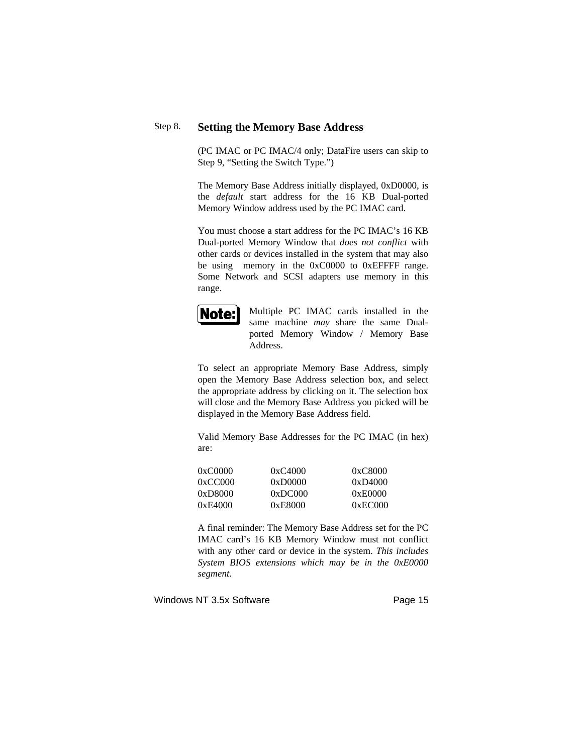### Step 8. **Setting the Memory Base Address**

(PC IMAC or PC IMAC/4 only; DataFire users can skip to Step 9, "Setting the Switch Type.")

The Memory Base Address initially displayed, 0xD0000, is the *default* start address for the 16 KB Dual-ported Memory Window address used by the PC IMAC card.

You must choose a start address for the PC IMAC's 16 KB Dual-ported Memory Window that *does not conflict* with other cards or devices installed in the system that may also be using memory in the 0xC0000 to 0xEFFFF range. Some Network and SCSI adapters use memory in this range.



Multiple PC IMAC cards installed in the same machine *may* share the same Dualported Memory Window / Memory Base Address.

To select an appropriate Memory Base Address, simply open the Memory Base Address selection box, and select the appropriate address by clicking on it. The selection box will close and the Memory Base Address you picked will be displayed in the Memory Base Address field.

Valid Memory Base Addresses for the PC IMAC (in hex) are:

| 0xC0000 | 0xC4000  | 0xC8000   |
|---------|----------|-----------|
| 0xCC000 | (XD0000) | (1xD4000) |
| 0xD8000 | 0xDC000  | 0xE(0000) |
| 0xE4000 | 0xE8000  | 0xEC000   |

A final reminder: The Memory Base Address set for the PC IMAC card's 16 KB Memory Window must not conflict with any other card or device in the system. *This includes System BIOS extensions which may be in the 0xE0000 segment.*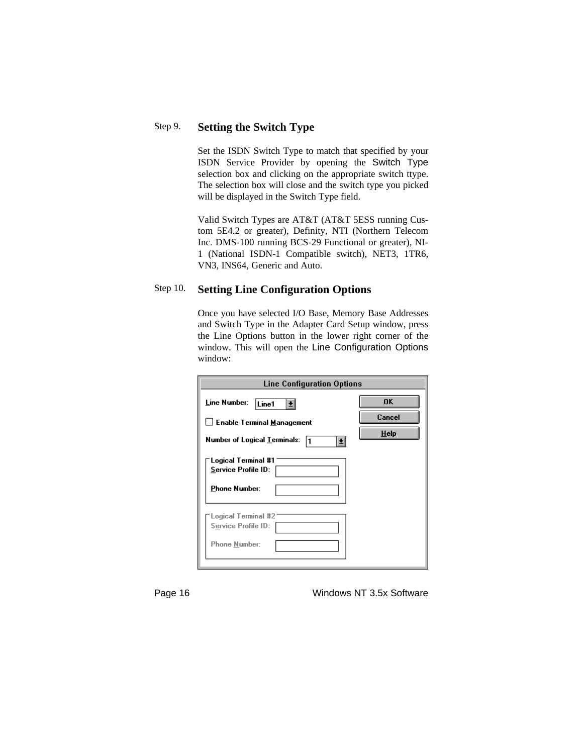## Step 9. **Setting the Switch Type**

Set the ISDN Switch Type to match that specified by your ISDN Service Provider by opening the Switch Type selection box and clicking on the appropriate switch ttype. The selection box will close and the switch type you picked will be displayed in the Switch Type field.

Valid Switch Types are AT&T (AT&T 5ESS running Custom 5E4.2 or greater), Definity, NTI (Northern Telecom Inc. DMS-100 running BCS-29 Functional or greater), NI-1 (National ISDN-1 Compatible switch), NET3, 1TR6, VN3, INS64, Generic and Auto.

## Step 10. **Setting Line Configuration Options**

Once you have selected I/O Base, Memory Base Addresses and Switch Type in the Adapter Card Setup window, press the Line Options button in the lower right corner of the window. This will open the Line Configuration Options window:

| Line Number:<br>Line1                                       | <b>OK</b>   |
|-------------------------------------------------------------|-------------|
| Enable Terminal Management                                  | Cancel      |
| Number of Logical <u>T</u> erminals:<br>11<br>회             | <b>Help</b> |
| Logical Terminal #1<br>Service Profile ID:                  |             |
| <b>Phone Number:</b>                                        |             |
| Logical Terminal #2<br>Service Profile ID:<br>Phone Number: |             |



Page 16 **Windows NT 3.5x Software**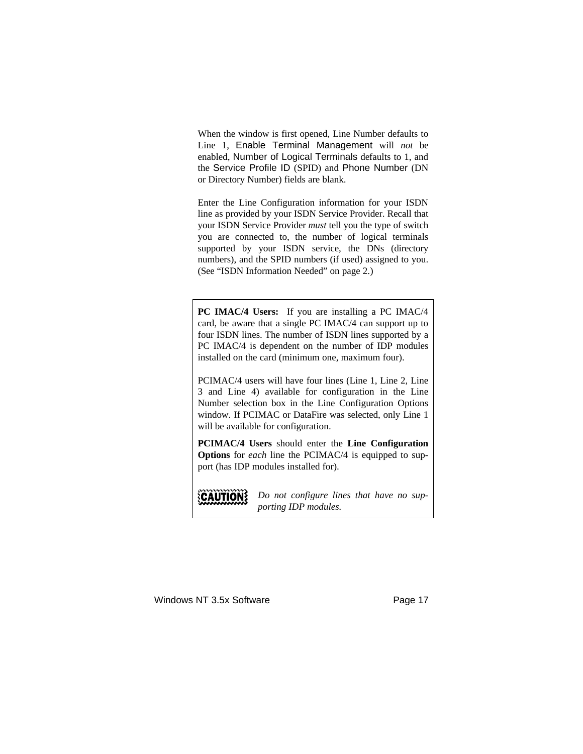When the window is first opened, Line Number defaults to Line 1, Enable Terminal Management will *not* be enabled, Number of Logical Terminals defaults to 1, and the Service Profile ID (SPID) and Phone Number (DN or Directory Number) fields are blank.

Enter the Line Configuration information for your ISDN line as provided by your ISDN Service Provider. Recall that your ISDN Service Provider *must* tell you the type of switch you are connected to, the number of logical terminals supported by your ISDN service, the DNs (directory numbers), and the SPID numbers (if used) assigned to you. (See "ISDN Information Needed" on page 2.)

**PC IMAC/4 Users:** If you are installing a PC IMAC/4 card, be aware that a single PC IMAC/4 can support up to four ISDN lines. The number of ISDN lines supported by a PC IMAC/4 is dependent on the number of IDP modules installed on the card (minimum one, maximum four).

PCIMAC/4 users will have four lines (Line 1, Line 2, Line 3 and Line 4) available for configuration in the Line Number selection box in the Line Configuration Options window. If PCIMAC or DataFire was selected, only Line 1 will be available for configuration.

**PCIMAC/4 Users** should enter the **Line Configuration Options** for *each* line the PCIMAC/4 is equipped to support (has IDP modules installed for).

**CAUTIONS** 

*Do not configure lines that have no supporting IDP modules.*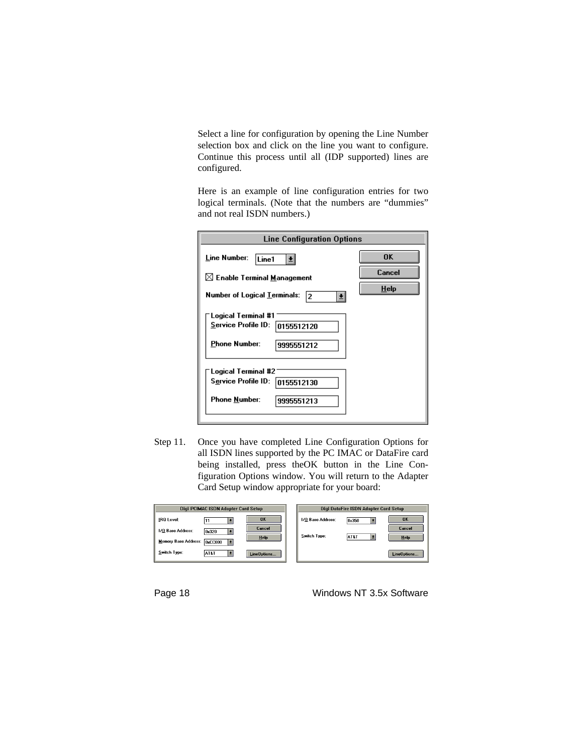Select a line for configuration by opening the Line Number selection box and click on the line you want to configure. Continue this process until all (IDP supported) lines are configured.

Here is an example of line configuration entries for two logical terminals. (Note that the numbers are "dummies" and not real ISDN numbers.)

| <b>Line Configuration Options</b>                                                                     |                         |  |  |
|-------------------------------------------------------------------------------------------------------|-------------------------|--|--|
| Line Number:<br>Line1<br>$\boxtimes$ Enable Terminal Management<br>Number of Logical Terminals:<br>12 | 0K<br>Cancel<br>$He$ lp |  |  |
| Logical Terminal #1<br><b>Service Profile ID:</b><br>0155512120<br><b>Phone Number:</b><br>9995551212 |                         |  |  |
| Logical Terminal #2<br>Service Profile ID:<br>0155512130<br>Phone Number:<br>9995551213               |                         |  |  |

Step 11. Once you have completed Line Configuration Options for all ISDN lines supported by the PC IMAC or DataFire card being installed, press theOK button in the Line Configuration Options window. You will return to the Adapter Card Setup window appropriate for your board:

|                      | Digi PCIMAC ISDN Adapter Card Setup |             | Digi Da             |
|----------------------|-------------------------------------|-------------|---------------------|
| IRO Level:           | ÷                                   | <b>OK</b>   | 1/0 Base Address:   |
| I/O Base Address:    | 0x320<br>圭                          | Cancel      | <b>Switch Type:</b> |
| Memory Base Address: | 회<br>0xC000                         | Help        |                     |
| Switch Type:         | <b>AT&amp;T</b><br>회                | LineOptions |                     |

| Digi DataFire ISDN Adapter Card Setup |                 |              |  |
|---------------------------------------|-----------------|--------------|--|
| I/O Base Address:                     | 0x350<br>÷      | <b>OK</b>    |  |
|                                       |                 | Cancel       |  |
| Switch Type:                          | <b>AT&amp;T</b> | Help         |  |
|                                       |                 |              |  |
|                                       |                 | LineOptions. |  |

Page 18 Mindows NT 3.5x Software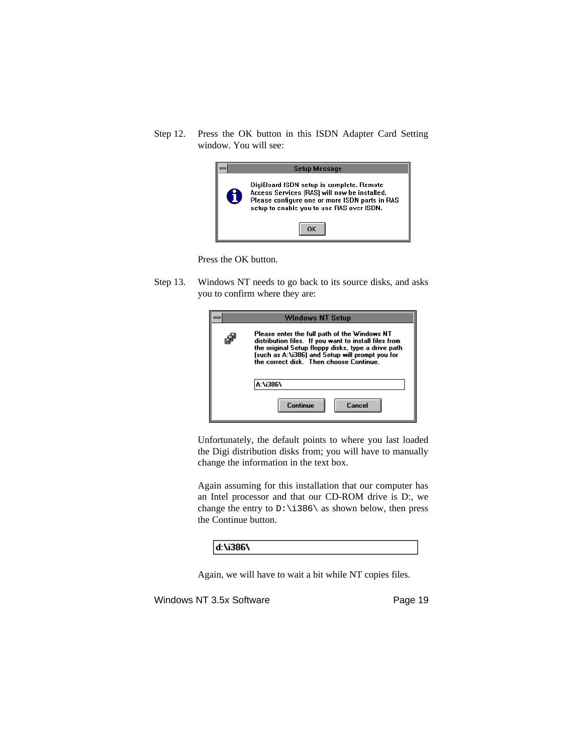Step 12. Press the OK button in this ISDN Adapter Card Setting window. You will see:



Press the OK button.

Step 13. Windows NT needs to go back to its source disks, and asks you to confirm where they are:

| <b>Windows NT Setup</b>                                                                                                                                                                                                                                   |  |  |
|-----------------------------------------------------------------------------------------------------------------------------------------------------------------------------------------------------------------------------------------------------------|--|--|
| Please enter the full path of the Windows NT<br>distribution files. If you want to install files from<br>the original Setup floppy disks, type a drive path<br>(such as A:\i386) and Setup will prompt you for<br>the correct disk. Then choose Continue. |  |  |
| A:\i386\                                                                                                                                                                                                                                                  |  |  |
| Continue<br>Cancel                                                                                                                                                                                                                                        |  |  |

Unfortunately, the default points to where you last loaded the Digi distribution disks from; you will have to manually change the information in the text box.

Again assuming for this installation that our computer has an Intel processor and that our CD-ROM drive is D:, we change the entry to  $D:\iota386\setminus$  as shown below, then press the Continue button.



Again, we will have to wait a bit while NT copies files.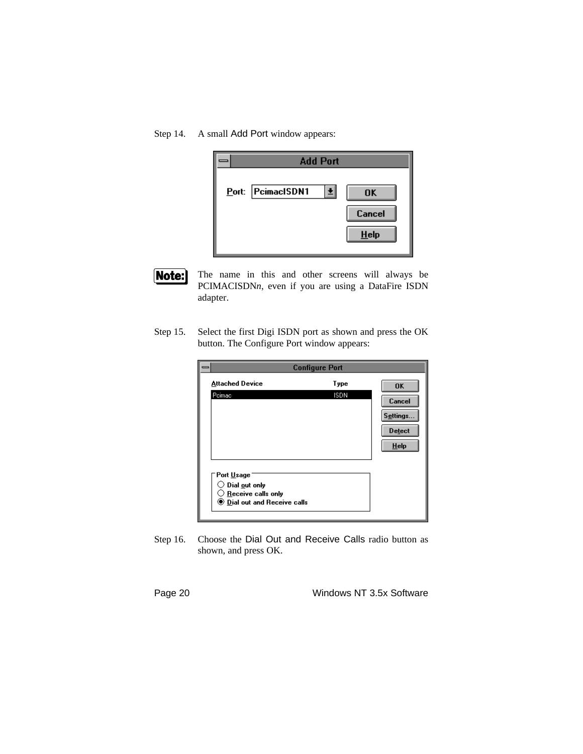Step 14. A small Add Port window appears:

|                   | <b>Add Port</b> |           |
|-------------------|-----------------|-----------|
| Port: PcimacISDN1 | 회               | <b>OK</b> |
|                   |                 | Cancel    |
|                   |                 | Help      |
|                   |                 |           |

Note:

The name in this and other screens will always be PCIMACISDN*n*, even if you are using a DataFire ISDN adapter.

Step 15. Select the first Digi ISDN port as shown and press the OK button. The Configure Port window appears:

|                                                                                                                | <b>Configure Port</b> |                                                |
|----------------------------------------------------------------------------------------------------------------|-----------------------|------------------------------------------------|
| <b>Attached Device</b>                                                                                         | Type                  | <b>OK</b>                                      |
| Peimae                                                                                                         | <b>ISDN</b>           | Cancel<br>Settings<br><b>Detect</b><br>$He$ lp |
| Port Usage<br>$\bigcirc$ Dial out only<br>$\bigcirc$ Receive calls only<br><b>1</b> Dial out and Receive calls |                       |                                                |

Step 16. Choose the Dial Out and Receive Calls radio button as shown, and press OK.

Page 20 Windows NT 3.5x Software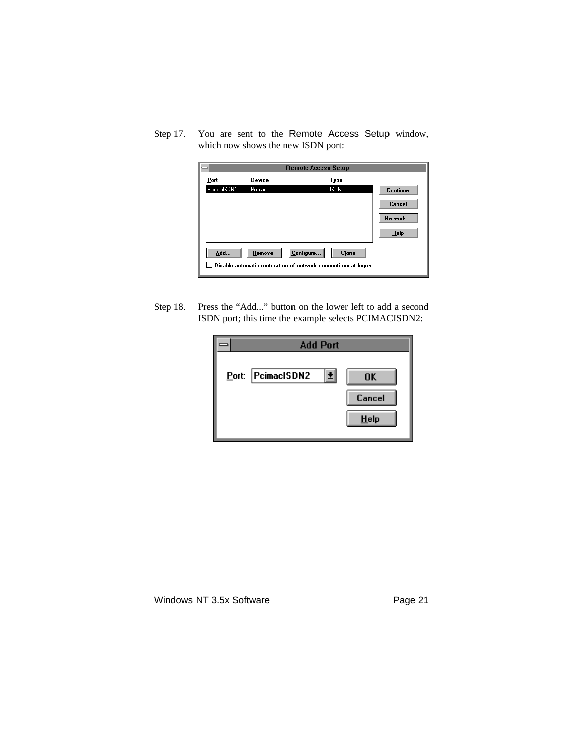Step 17. You are sent to the Remote Access Setup window, which now shows the new ISDN port:

|             |        | <b>Remote Access Setup</b>                                    |              |                 |
|-------------|--------|---------------------------------------------------------------|--------------|-----------------|
| Port        | Device |                                                               | Type         |                 |
| PcimacISDN1 | Pcimac |                                                               | <b>ISDN</b>  | <b>Continue</b> |
|             |        |                                                               |              | Cancel          |
|             |        |                                                               |              | Network.        |
|             |        |                                                               |              | $He$ lp         |
| Add         | Remove | Configure                                                     | <b>Clone</b> |                 |
|             |        | Disable automatic restoration of network connections at logon |              |                 |

Step 18. Press the "Add..." button on the lower left to add a second ISDN port; this time the example selects PCIMACISDN2:

| <b>Add Port</b>        |                |
|------------------------|----------------|
| Port: PcimacISDN2<br>회 | OK             |
|                        | Cancel<br>Help |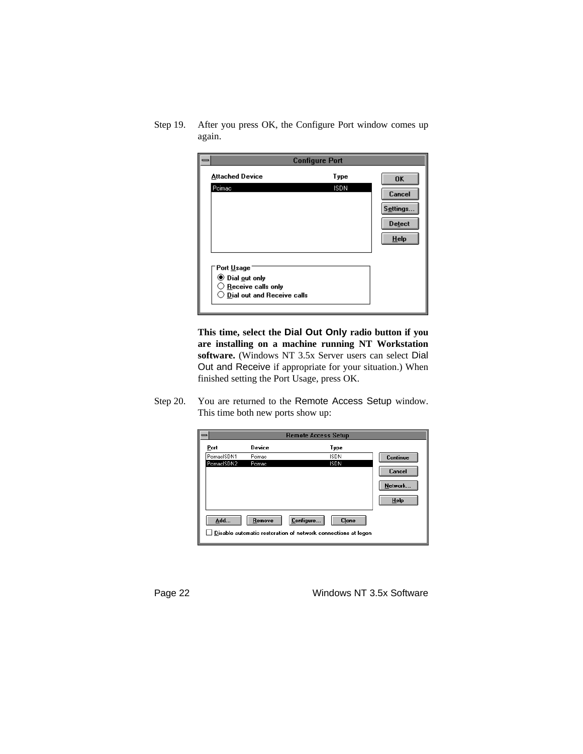|                                                                                                               | <b>Configure Port</b> |                                                              |
|---------------------------------------------------------------------------------------------------------------|-----------------------|--------------------------------------------------------------|
| <b>Attached Device</b><br>Peimae                                                                              | Type<br><b>ISDN</b>   | <b>OK</b><br>Cancel<br>Settings.<br><b>Detect</b><br>$He$ lp |
| Port Usage<br><b>♦ Dial out only</b><br>$\bigcirc$ Receive calls only<br>$\supset$ Dial out and Receive calls |                       |                                                              |

Step 19. After you press OK, the Configure Port window comes up again.

> **This time, select the Dial Out Only radio button if you are installing on a machine running NT Workstation software.** (Windows NT 3.5x Server users can select Dial Out and Receive if appropriate for your situation.) When finished setting the Port Usage, press OK.

Step 20. You are returned to the Remote Access Setup window. This time both new ports show up:

| $=$ |             |        | <b>Remote Access Setup</b>                                    |                 |
|-----|-------------|--------|---------------------------------------------------------------|-----------------|
|     | Port        | Device | Type                                                          |                 |
|     | PcimacISDN1 | Pcimac | <b>ISDN</b>                                                   | <b>Continue</b> |
|     | PcimacISDN2 | Pcimac | <b>ISDN</b>                                                   |                 |
|     |             |        |                                                               | Cancel          |
|     |             |        |                                                               |                 |
|     |             |        |                                                               | Network.        |
|     |             |        |                                                               | $He$ lp         |
|     |             |        |                                                               |                 |
|     | Add         | Remove | Configure<br><b>Clone</b>                                     |                 |
|     |             |        | Disable automatic restoration of network connections at logon |                 |



Page 22 Windows NT 3.5x Software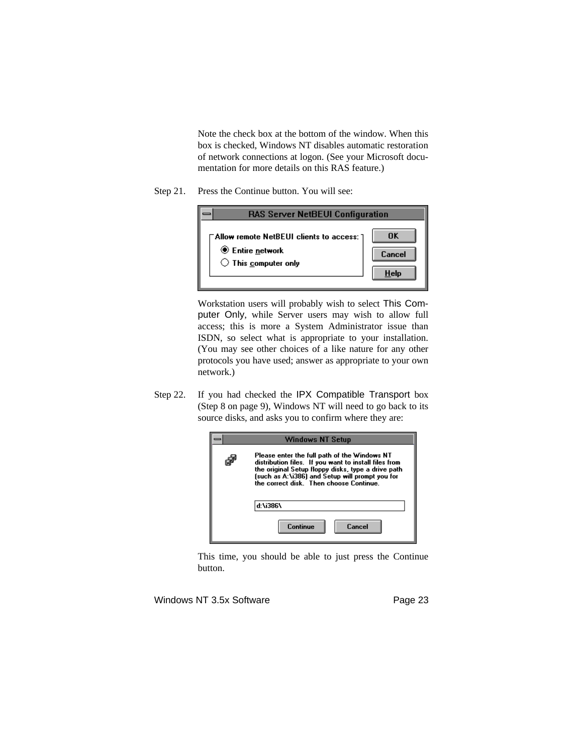Note the check box at the bottom of the window. When this box is checked, Windows NT disables automatic restoration of network connections at logon. (See your Microsoft documentation for more details on this RAS feature.)

Step 21. Press the Continue button. You will see:



Workstation users will probably wish to select This Computer Only, while Server users may wish to allow full access; this is more a System Administrator issue than ISDN, so select what is appropriate to your installation. (You may see other choices of a like nature for any other protocols you have used; answer as appropriate to your own network.)

Step 22. If you had checked the IPX Compatible Transport box (Step 8 on page 9), Windows NT will need to go back to its source disks, and asks you to confirm where they are:



This time, you should be able to just press the Continue button.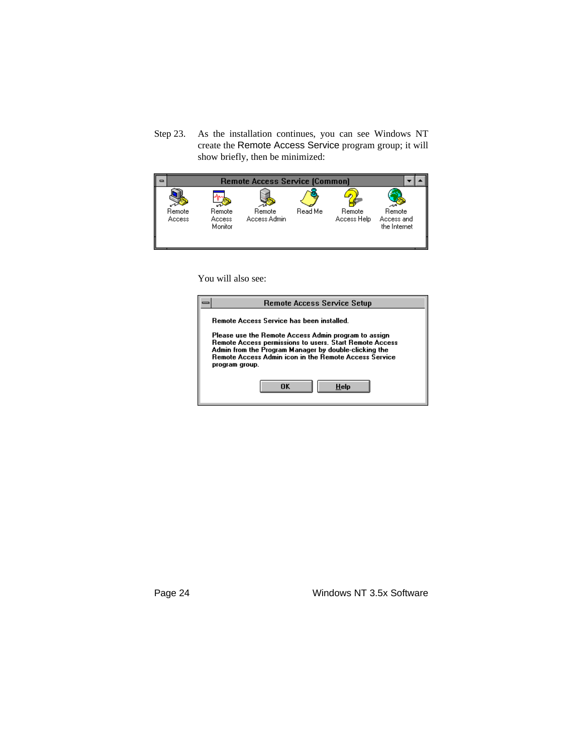Step 23. As the installation continues, you can see Windows NT create the Remote Access Service program group; it will show briefly, then be minimized:



You will also see:

| Remote Access Service Setup                                                                                                                                                                                                                                |  |  |  |  |  |
|------------------------------------------------------------------------------------------------------------------------------------------------------------------------------------------------------------------------------------------------------------|--|--|--|--|--|
| <b>Bemote Access Service has been installed</b>                                                                                                                                                                                                            |  |  |  |  |  |
| Please use the Remote Access Admin program to assign<br>Remote Access permissions to users. Start Remote Access<br>Admin from the Program Manager by double-clicking the<br><b>Remote Access Admin icon in the Remote Access Service</b><br>program group. |  |  |  |  |  |
| OK<br>Help                                                                                                                                                                                                                                                 |  |  |  |  |  |

Page 24 Windows NT 3.5x Software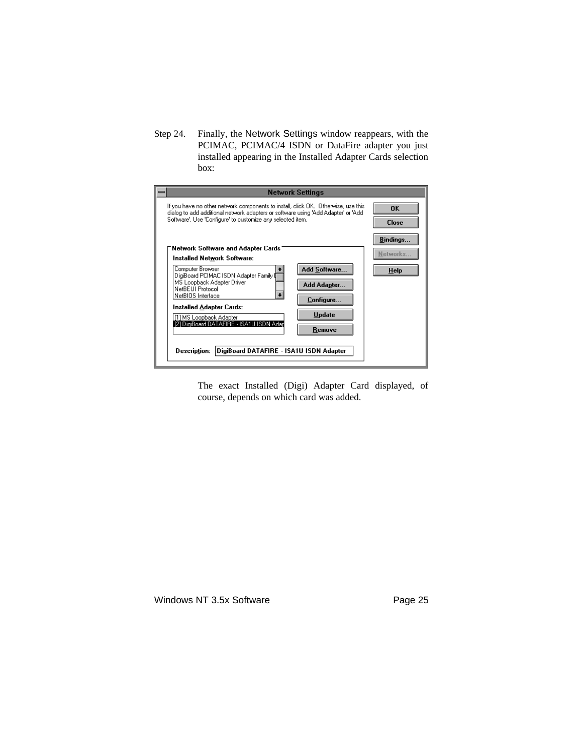Step 24. Finally, the Network Settings window reappears, with the PCIMAC, PCIMAC/4 ISDN or DataFire adapter you just installed appearing in the Installed Adapter Cards selection box:

| <b>Network Settings</b>                                                                                                                                                                                                                                                                                                                                                                                                                       |                                              |
|-----------------------------------------------------------------------------------------------------------------------------------------------------------------------------------------------------------------------------------------------------------------------------------------------------------------------------------------------------------------------------------------------------------------------------------------------|----------------------------------------------|
| If you have no other network components to install, click OK. Otherwise, use this<br>dialog to add additional network adapters or software using 'Add Adapter' or 'Add<br>Software'. Use 'Configure' to customize any selected item.                                                                                                                                                                                                          | <b>OK</b><br><b>Close</b>                    |
| Network Software and Adapter Cards<br>Installed Network Software:<br>Computer Browser<br>Add Software<br>DigiBoard PCIMAC ISDN Adapter Family II<br>MS Loopback Adapter Driver<br>Add Adapter.<br>NetBEUI Protocol<br>NetBIOS Interface<br>Configure<br>Installed Adapter Cards:<br><b>Update</b><br>[1] MS Loopback Adapter<br>[2] DigiBoard DATAFIRE - ISA1U ISDN Adap<br>Remove<br>DigiBoard DATAFIRE - ISA1U ISDN Adapter<br>Description: | <b>Bindings.</b><br>Networks.<br><b>Help</b> |

The exact Installed (Digi) Adapter Card displayed, of course, depends on which card was added.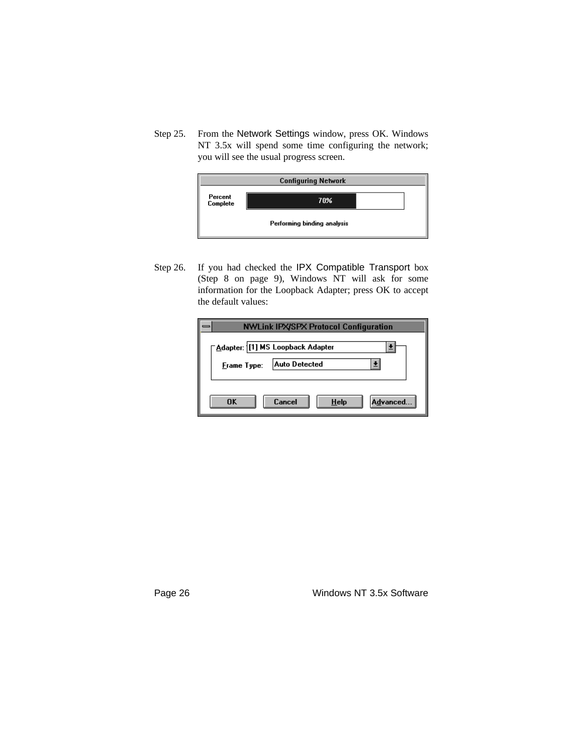Step 25. From the Network Settings window, press OK. Windows NT 3.5x will spend some time configuring the network; you will see the usual progress screen.



Step 26. If you had checked the IPX Compatible Transport box (Step 8 on page 9), Windows NT will ask for some information for the Loopback Adapter; press OK to accept the default values:

|             | NWLink IPX/SPX Protocol Configuration       |
|-------------|---------------------------------------------|
|             | ∏ <u>A</u> dapter: 1[1] MS Loopback Adapter |
| Frame Type: | Auto Detected                               |
|             |                                             |
| 0K          | Advanced<br>Cancel<br><b>Help</b>           |

Page 26 Windows NT 3.5x Software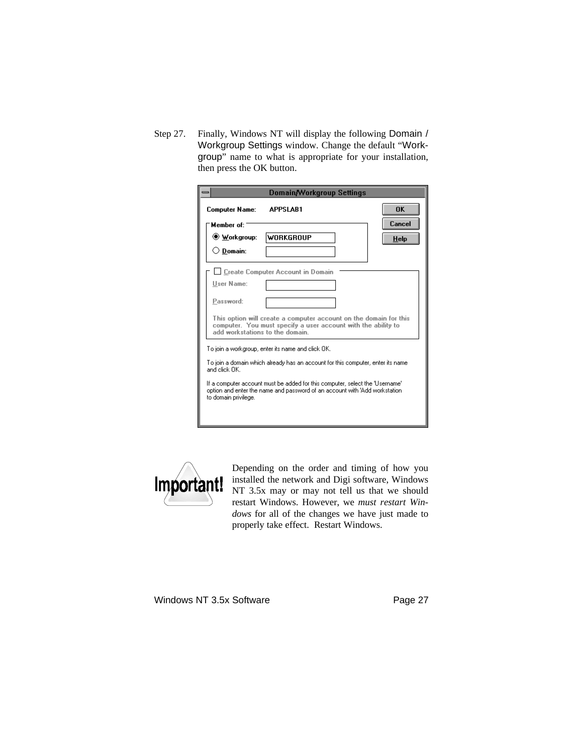Step 27. Finally, Windows NT will display the following Domain / Workgroup Settings window. Change the default "Workgroup" name to what is appropriate for your installation, then press the OK button.

|                                | Domain/Workgroup Settings                                                                                                                                  |           |
|--------------------------------|------------------------------------------------------------------------------------------------------------------------------------------------------------|-----------|
| Computer Name:                 | <b>APPSI AR1</b>                                                                                                                                           | <b>NK</b> |
| Member of:                     |                                                                                                                                                            | Cancel    |
| ◉ Workgroup:                   | <b>WORKGROUP</b>                                                                                                                                           | HeIp      |
| $\bigcirc$ Domain:             |                                                                                                                                                            |           |
|                                | Create Computer Account in Domain                                                                                                                          |           |
| User Name:                     |                                                                                                                                                            |           |
| Password:                      |                                                                                                                                                            |           |
| add workstations to the domain | This option will create a computer account on the domain for this<br>computer. You must specify a user account with the ability to                         |           |
|                                | To join a workgroup, enter its name and click OK.                                                                                                          |           |
| and click OK .                 | To join a domain which already has an account for this computer, enter its name                                                                            |           |
| to domain privilege.           | If a computer account must be added for this computer, select the 'Username'<br>option and enter the name and password of an account with 'Add workstation |           |
|                                |                                                                                                                                                            |           |



Depending on the order and timing of how you installed the network and Digi software, Windows NT 3.5x may or may not tell us that we should restart Windows. However, we *must restart Windows* for all of the changes we have just made to properly take effect. Restart Windows.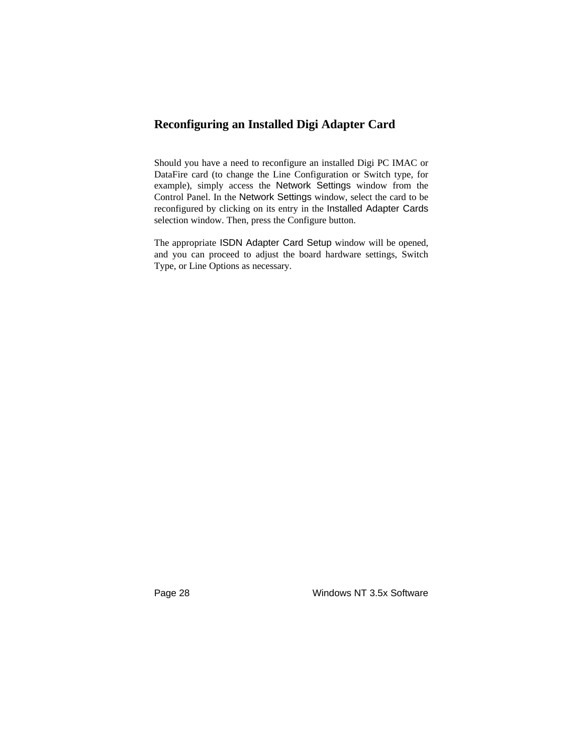## **Reconfiguring an Installed Digi Adapter Card**

Should you have a need to reconfigure an installed Digi PC IMAC or DataFire card (to change the Line Configuration or Switch type, for example), simply access the Network Settings window from the Control Panel. In the Network Settings window, select the card to be reconfigured by clicking on its entry in the Installed Adapter Cards selection window. Then, press the Configure button.

The appropriate ISDN Adapter Card Setup window will be opened, and you can proceed to adjust the board hardware settings, Switch Type, or Line Options as necessary.

Page 28 Windows NT 3.5x Software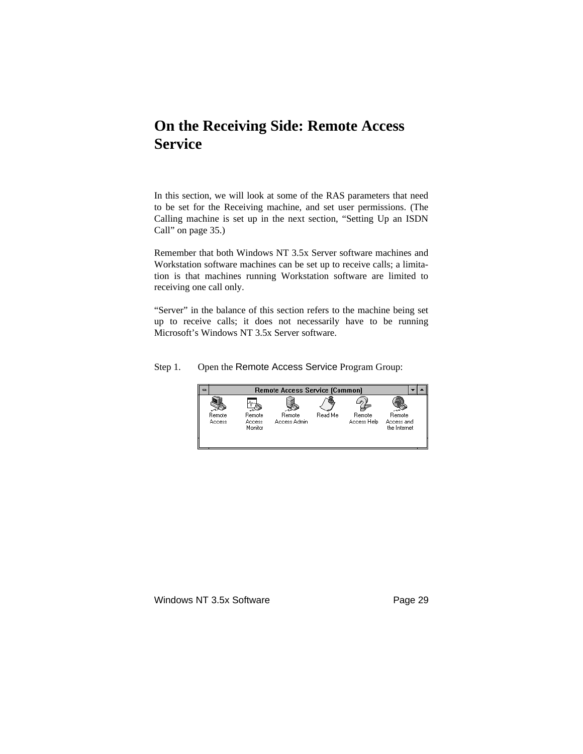## **On the Receiving Side: Remote Access Service**

In this section, we will look at some of the RAS parameters that need to be set for the Receiving machine, and set user permissions. (The Calling machine is set up in the next section, "Setting Up an ISDN Call" on page 35.)

Remember that both Windows NT 3.5x Server software machines and Workstation software machines can be set up to receive calls; a limitation is that machines running Workstation software are limited to receiving one call only.

"Server" in the balance of this section refers to the machine being set up to receive calls; it does not necessarily have to be running Microsoft's Windows NT 3.5x Server software.

#### Step 1. Open the Remote Access Service Program Group:

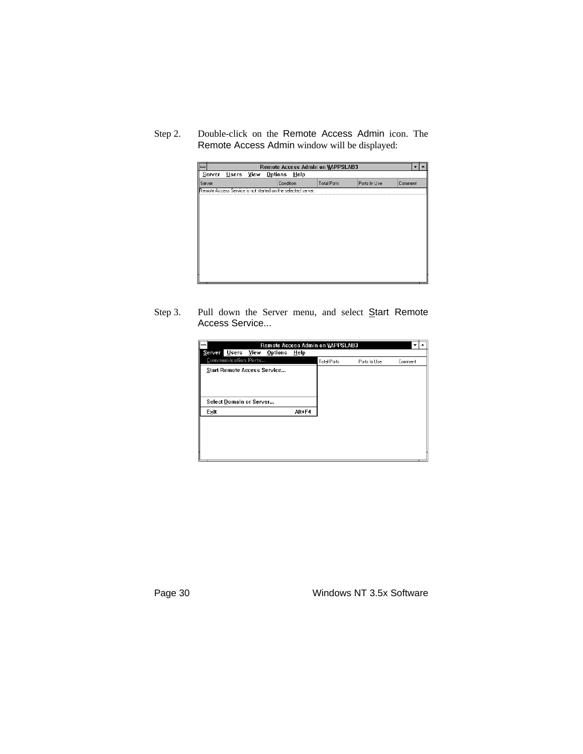Step 2. Double-click on the Remote Access Admin icon. The Remote Access Admin window will be displayed:

| Remote Access Admin on WAPPSLAB3 |  |  |                                                              |      |                    |              |         |  |
|----------------------------------|--|--|--------------------------------------------------------------|------|--------------------|--------------|---------|--|
| Server                           |  |  | Users View Options                                           | Help |                    |              |         |  |
| Server                           |  |  | Condition                                                    |      | <b>Total Ports</b> | Ports In Use | Comment |  |
|                                  |  |  | Remote Access Service is not started on the selected server. |      |                    |              |         |  |
|                                  |  |  |                                                              |      |                    |              |         |  |
|                                  |  |  |                                                              |      |                    |              |         |  |
|                                  |  |  |                                                              |      |                    |              |         |  |
|                                  |  |  |                                                              |      |                    |              |         |  |
|                                  |  |  |                                                              |      |                    |              |         |  |
|                                  |  |  |                                                              |      |                    |              |         |  |
|                                  |  |  |                                                              |      |                    |              |         |  |
|                                  |  |  |                                                              |      |                    |              |         |  |
|                                  |  |  |                                                              |      |                    |              |         |  |
|                                  |  |  |                                                              |      |                    |              |         |  |
|                                  |  |  |                                                              |      |                    |              |         |  |

Step 3. Pull down the Server menu, and select Start Remote Access Service...

| ∣—   | Remote Access Admin on WAPPSLAB3<br>Server Users View Options |  |  |        |             |              |         |  |
|------|---------------------------------------------------------------|--|--|--------|-------------|--------------|---------|--|
|      |                                                               |  |  | Help   |             |              |         |  |
|      | Communication Ports                                           |  |  |        | Total Ports | Ports In Use | Comment |  |
|      | Start Remote Access Service                                   |  |  |        |             |              |         |  |
|      |                                                               |  |  |        |             |              |         |  |
|      |                                                               |  |  |        |             |              |         |  |
|      |                                                               |  |  |        |             |              |         |  |
|      | Select Domain or Server                                       |  |  |        |             |              |         |  |
| Exit |                                                               |  |  | Alt+F4 |             |              |         |  |
|      |                                                               |  |  |        |             |              |         |  |
|      |                                                               |  |  |        |             |              |         |  |
|      |                                                               |  |  |        |             |              |         |  |
|      |                                                               |  |  |        |             |              |         |  |
|      |                                                               |  |  |        |             |              |         |  |
|      |                                                               |  |  |        |             |              |         |  |

Page 30 Windows NT 3.5x Software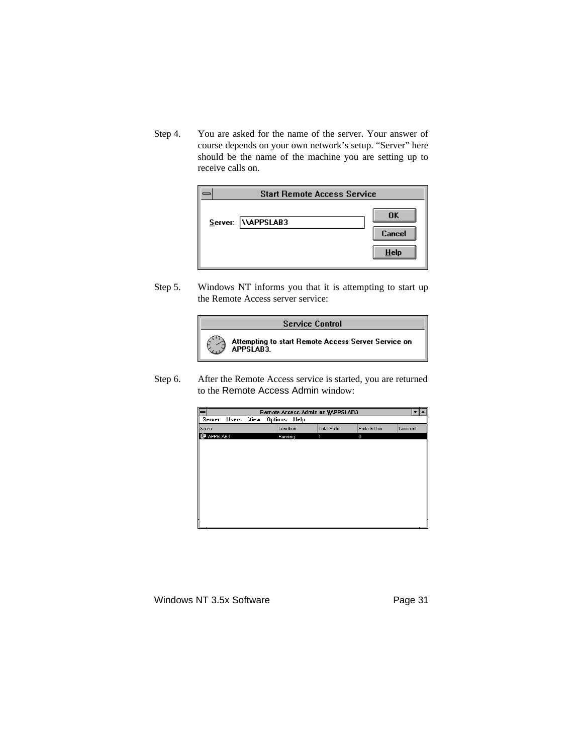Step 4. You are asked for the name of the server. Your answer of course depends on your own network's setup. "Server" here should be the name of the machine you are setting up to receive calls on.



Step 5. Windows NT informs you that it is attempting to start up the Remote Access server service:



Step 6. After the Remote Access service is started, you are returned to the Remote Access Admin window:

|          |       |      |         |           | Remote Access Admin on WAPPSLAB3 |              |         |  |
|----------|-------|------|---------|-----------|----------------------------------|--------------|---------|--|
| Server   | Users | View | Options | Help      |                                  |              |         |  |
| Server   |       |      |         | Condition | <b>Total Ports</b>               | Ports In Use | Comment |  |
| APPSLAB3 |       |      |         | Running   |                                  | $\bf{0}$     |         |  |
|          |       |      |         |           |                                  |              |         |  |
|          |       |      |         |           |                                  |              |         |  |
|          |       |      |         |           |                                  |              |         |  |
|          |       |      |         |           |                                  |              |         |  |
|          |       |      |         |           |                                  |              |         |  |
|          |       |      |         |           |                                  |              |         |  |
|          |       |      |         |           |                                  |              |         |  |
|          |       |      |         |           |                                  |              |         |  |
|          |       |      |         |           |                                  |              |         |  |
|          |       |      |         |           |                                  |              |         |  |
|          |       |      |         |           |                                  |              |         |  |
|          |       |      |         |           |                                  |              |         |  |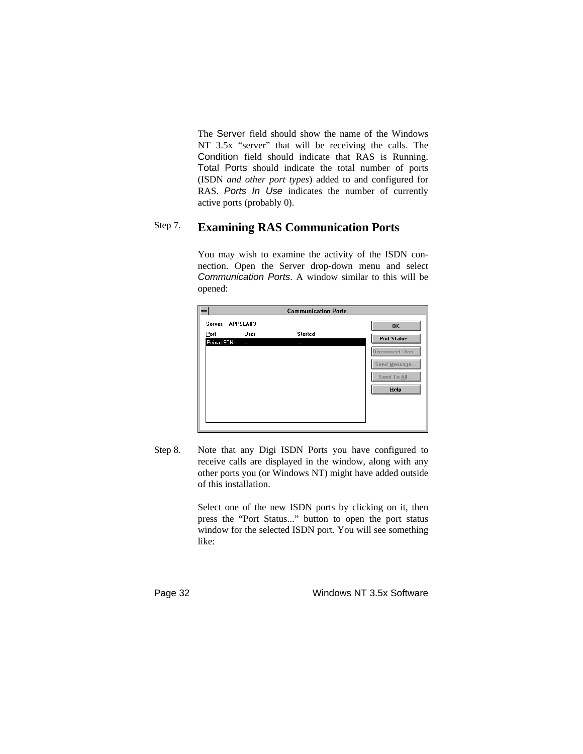The Server field should show the name of the Windows NT 3.5x "server" that will be receiving the calls. The Condition field should indicate that RAS is Running. Total Ports should indicate the total number of ports (ISDN *and other port types*) added to and configured for RAS. *Ports In Use* indicates the number of currently active ports (probably 0).

## Step 7. **Examining RAS Communication Ports**

You may wish to examine the activity of the ISDN connection. Open the Server drop-down menu and select *Communication Ports*. A window similar to this will be opened:

| $=$              |      | <b>Communication Ports</b> |                 |
|------------------|------|----------------------------|-----------------|
| Server: APPSLAB3 |      |                            | <b>OK</b>       |
| Port             | User | <b>Started</b>             | Port Status     |
| PcimacISDN1      | ł    | ļ                          |                 |
|                  |      |                            | Disconnect User |
|                  |      |                            | Send Message    |
|                  |      |                            | Send To All     |
|                  |      |                            | HeIp            |
|                  |      |                            |                 |
|                  |      |                            |                 |
|                  |      |                            |                 |

Step 8. Note that any Digi ISDN Ports you have configured to receive calls are displayed in the window, along with any other ports you (or Windows NT) might have added outside of this installation.

> Select one of the new ISDN ports by clicking on it, then press the "Port Status..." button to open the port status window for the selected ISDN port. You will see something like:

Page 32 Windows NT 3.5x Software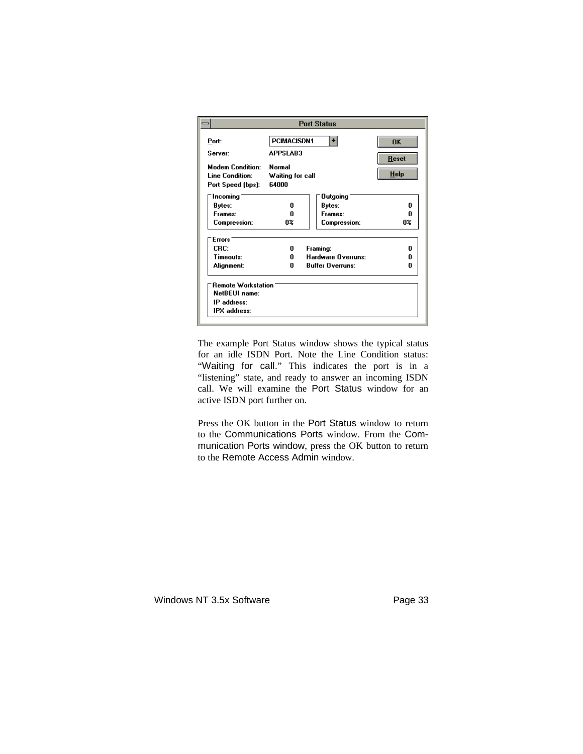|                           |                    | <b>Port Status</b>      |              |
|---------------------------|--------------------|-------------------------|--------------|
| Port:                     | <b>PCIMACISDN1</b> | 회                       | <b>OK</b>    |
| Server:                   | APPSLAB3           |                         | <b>Reset</b> |
| <b>Modem Condition:</b>   | <b>Normal</b>      |                         |              |
| <b>Line Condition:</b>    | Waiting for call   |                         | HeIp         |
| Port Speed (bps):         | 64000              |                         |              |
| Incoming                  |                    | Outgoing                |              |
| Bytes:                    | O                  | Bytes:                  | O            |
| Frames:                   | Λ                  | Frames:                 | U            |
| <b>Compression:</b>       | O%                 | <b>Compression:</b>     | O%           |
| <b>Errors</b>             |                    |                         |              |
| CRC:                      | U                  | Framing:                | U            |
| Timenuts:                 | U                  | Hardware Overruns:      | U            |
| Alignment:                | 0                  | <b>Buffer Overruns:</b> | 0            |
| <b>Remote Workstation</b> |                    |                         |              |
| <b>NetBEUI</b> name:      |                    |                         |              |
| IP address:               |                    |                         |              |
| IPX address:              |                    |                         |              |

The example Port Status window shows the typical status for an idle ISDN Port. Note the Line Condition status: "Waiting for call." This indicates the port is in a "listening" state, and ready to answer an incoming ISDN call. We will examine the Port Status window for an active ISDN port further on.

Press the OK button in the Port Status window to return to the Communications Ports window. From the Communication Ports window, press the OK button to return to the Remote Access Admin window.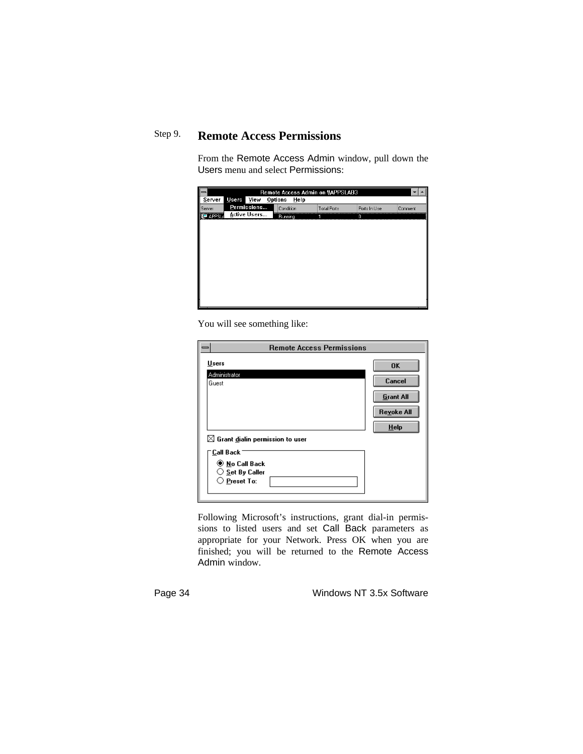## Step 9. **Remote Access Permissions**

From the Remote Access Admin window, pull down the Users menu and select Permissions:

|        |                     |                        | Remote Access Admin on \\APPSLAB3 |              |         |
|--------|---------------------|------------------------|-----------------------------------|--------------|---------|
| Server | Users <i>Yiew</i>   | <b>Options</b><br>Help |                                   |              |         |
| Server | Permissions         | Condition              | Total Ports                       | Ports In Use | Comment |
| APPSL  | <b>Active Users</b> | Running                |                                   | 0            |         |
|        |                     |                        |                                   |              |         |
|        |                     |                        |                                   |              |         |
|        |                     |                        |                                   |              |         |
|        |                     |                        |                                   |              |         |
|        |                     |                        |                                   |              |         |
|        |                     |                        |                                   |              |         |
|        |                     |                        |                                   |              |         |
|        |                     |                        |                                   |              |         |
|        |                     |                        |                                   |              |         |
|        |                     |                        |                                   |              |         |
|        |                     |                        |                                   |              |         |
|        |                     |                        |                                   |              |         |

You will see something like:

| <b>Remote Access Permissions</b>                                                        |                                                                      |
|-----------------------------------------------------------------------------------------|----------------------------------------------------------------------|
| Users<br>Administrator<br>Guest                                                         | <b>OK</b><br>Cancel<br><b>Grant All</b><br><b>Revoke All</b><br>Help |
| $\boxtimes$ Grant dialin permission to user                                             |                                                                      |
| <b>Call Back</b><br>◉ No Call Back<br>$\bigcirc$ Set By Caller<br>$\bigcirc$ Preset To: |                                                                      |

Following Microsoft's instructions, grant dial-in permissions to listed users and set Call Back parameters as appropriate for your Network. Press OK when you are finished; you will be returned to the Remote Access Admin window.

Page 34 Windows NT 3.5x Software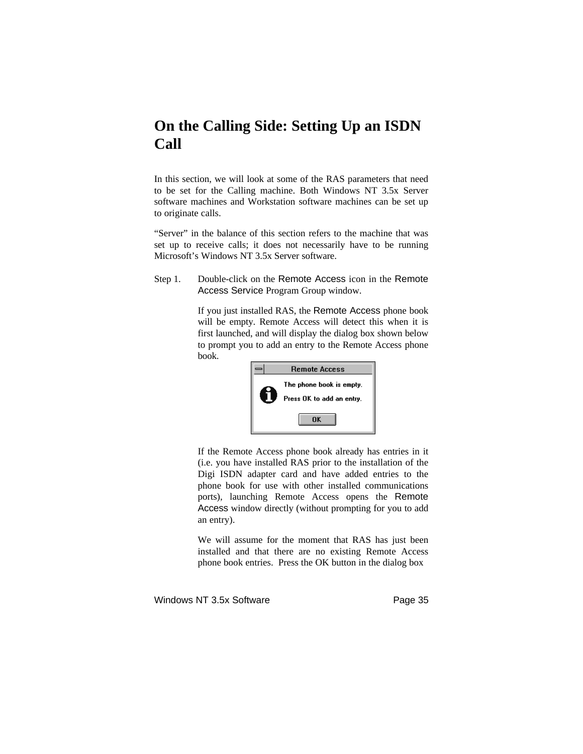## **On the Calling Side: Setting Up an ISDN Call**

In this section, we will look at some of the RAS parameters that need to be set for the Calling machine. Both Windows NT 3.5x Server software machines and Workstation software machines can be set up to originate calls.

"Server" in the balance of this section refers to the machine that was set up to receive calls; it does not necessarily have to be running Microsoft's Windows NT 3.5x Server software.

Step 1. Double-click on the Remote Access icon in the Remote Access Service Program Group window.

> If you just installed RAS, the Remote Access phone book will be empty. Remote Access will detect this when it is first launched, and will display the dialog box shown below to prompt you to add an entry to the Remote Access phone book.



If the Remote Access phone book already has entries in it (i.e. you have installed RAS prior to the installation of the Digi ISDN adapter card and have added entries to the phone book for use with other installed communications ports), launching Remote Access opens the Remote Access window directly (without prompting for you to add an entry).

We will assume for the moment that RAS has just been installed and that there are no existing Remote Access phone book entries. Press the OK button in the dialog box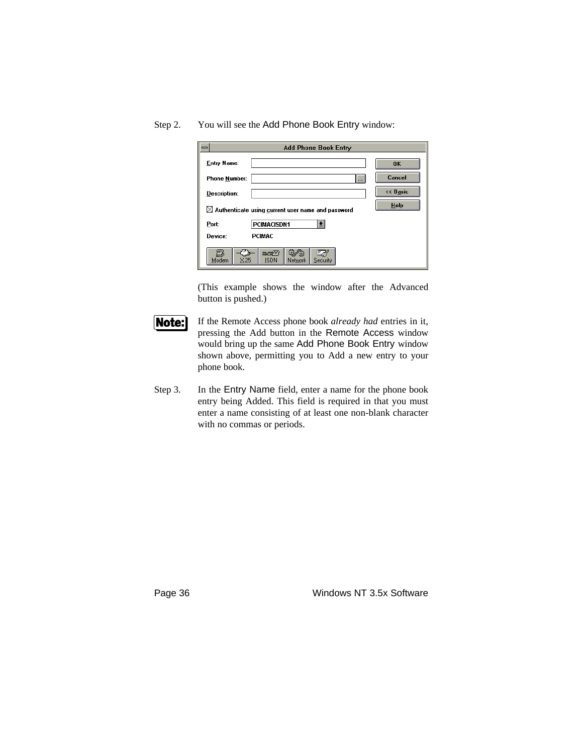#### Step 2. You will see the Add Phone Book Entry window:

|                     | <b>Add Phone Book Entry</b>                                   |           |
|---------------------|---------------------------------------------------------------|-----------|
| <b>Entry Name:</b>  |                                                               | <b>OK</b> |
| Phone Number:       |                                                               | Cancel    |
| <b>Description:</b> |                                                               | << Basic  |
|                     | $\boxtimes$ Authenticate using current user name and password | HeIp      |
| Port:               | PCIMACISDN1<br>土                                              |           |
| Device:             | <b>PCIMAC</b>                                                 |           |
| 25<br>Modem         | max(7)<br>Eg<br><b>ISDN</b><br><b>Network</b><br>Security     |           |

(This example shows the window after the Advanced button is pushed.)



If the Remote Access phone book *already had* entries in it, pressing the Add button in the Remote Access window would bring up the same Add Phone Book Entry window shown above, permitting you to Add a new entry to your phone book.

Step 3. In the Entry Name field, enter a name for the phone book entry being Added. This field is required in that you must enter a name consisting of at least one non-blank character with no commas or periods.

Page 36 Windows NT 3.5x Software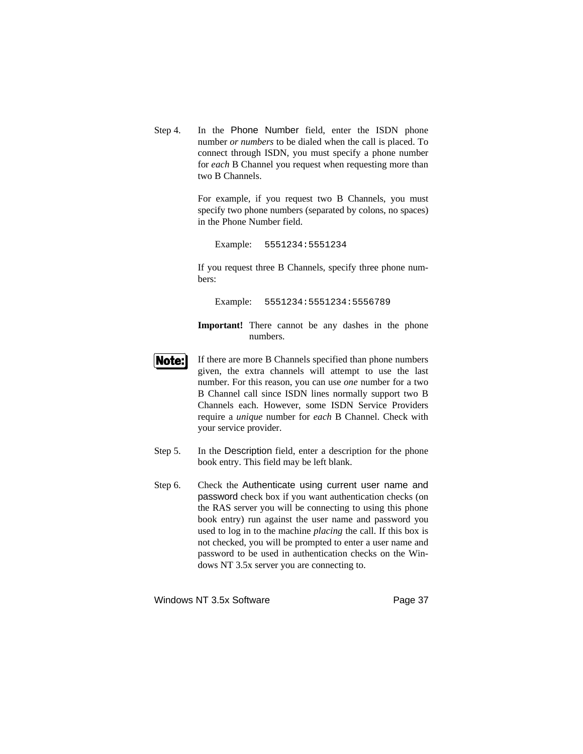Step 4. In the Phone Number field, enter the ISDN phone number *or numbers* to be dialed when the call is placed. To connect through ISDN, you must specify a phone number for *each* B Channel you request when requesting more than two B Channels.

> For example, if you request two B Channels, you must specify two phone numbers (separated by colons, no spaces) in the Phone Number field.

Example: 5551234:5551234

If you request three B Channels, specify three phone numbers:

Example: 5551234:5551234:5556789

**Important!** There cannot be any dashes in the phone numbers.

Note:

If there are more B Channels specified than phone numbers given, the extra channels will attempt to use the last number. For this reason, you can use *one* number for a two B Channel call since ISDN lines normally support two B Channels each. However, some ISDN Service Providers require a *unique* number for *each* B Channel. Check with your service provider.

- Step 5. In the Description field, enter a description for the phone book entry. This field may be left blank.
- Step 6. Check the Authenticate using current user name and password check box if you want authentication checks (on the RAS server you will be connecting to using this phone book entry) run against the user name and password you used to log in to the machine *placing* the call. If this box is not checked, you will be prompted to enter a user name and password to be used in authentication checks on the Windows NT 3.5x server you are connecting to.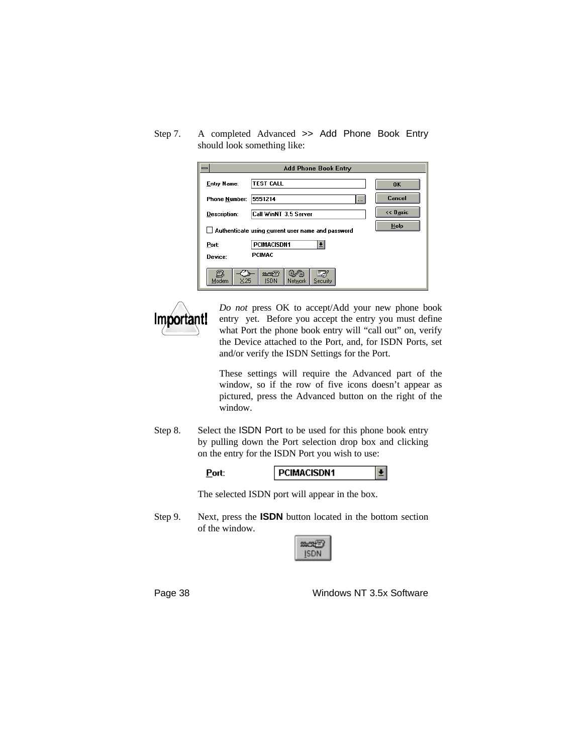Step 7. A completed Advanced >> Add Phone Book Entry should look something like:

|                          | <b>Add Phone Book Entry</b>                              |             |  |  |
|--------------------------|----------------------------------------------------------|-------------|--|--|
| <b>Entry Name:</b>       | <b>TEST CALL</b>                                         | <b>OK</b>   |  |  |
| Phone Number:            | 5551214                                                  | Cancel      |  |  |
| Description:             | Call WinNT 3.5 Server                                    | << Basic    |  |  |
|                          | $\Box$ Authenticate using current user name and password | <b>Help</b> |  |  |
| Port:                    | <b>PCIMACISDN1</b><br>÷                                  |             |  |  |
| <b>PCIMAC</b><br>Device: |                                                          |             |  |  |
| X 25<br>Modem            | $m - 1$<br>Г.<br><b>ISDN</b><br>Network<br>Security      |             |  |  |



*Do not* press OK to accept/Add your new phone book entry yet. Before you accept the entry you must define what Port the phone book entry will "call out" on, verify the Device attached to the Port, and, for ISDN Ports, set and/or verify the ISDN Settings for the Port.

These settings will require the Advanced part of the window, so if the row of five icons doesn't appear as pictured, press the Advanced button on the right of the window.

Step 8. Select the ISDN Port to be used for this phone book entry by pulling down the Port selection drop box and clicking on the entry for the ISDN Port you wish to use:

Port:



The selected ISDN port will appear in the box.

Step 9. Next, press the **ISDN** button located in the bottom section of the window.



Page 38 Windows NT 3.5x Software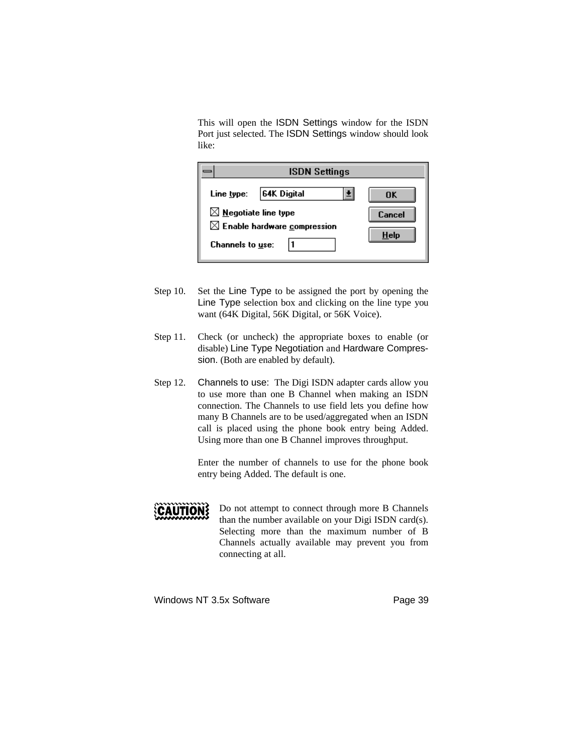This will open the ISDN Settings window for the ISDN Port just selected. The ISDN Settings window should look like:

| <b>ISDN Settings</b>                                                                           |                |  |  |  |
|------------------------------------------------------------------------------------------------|----------------|--|--|--|
| <b>64K Digital</b><br>Line type:                                                               | OK             |  |  |  |
| $\boxtimes$ Negotiate line type<br>$\boxtimes$ Enable hardware compression<br>Channels to use: | Cancel<br>Help |  |  |  |

- Step 10. Set the Line Type to be assigned the port by opening the Line Type selection box and clicking on the line type you want (64K Digital, 56K Digital, or 56K Voice).
- Step 11. Check (or uncheck) the appropriate boxes to enable (or disable) Line Type Negotiation and Hardware Compression. (Both are enabled by default).
- Step 12. Channels to use: The Digi ISDN adapter cards allow you to use more than one B Channel when making an ISDN connection. The Channels to use field lets you define how many B Channels are to be used/aggregated when an ISDN call is placed using the phone book entry being Added. Using more than one B Channel improves throughput.

Enter the number of channels to use for the phone book entry being Added. The default is one.



Do not attempt to connect through more B Channels than the number available on your Digi ISDN card(s). Selecting more than the maximum number of B Channels actually available may prevent you from connecting at all.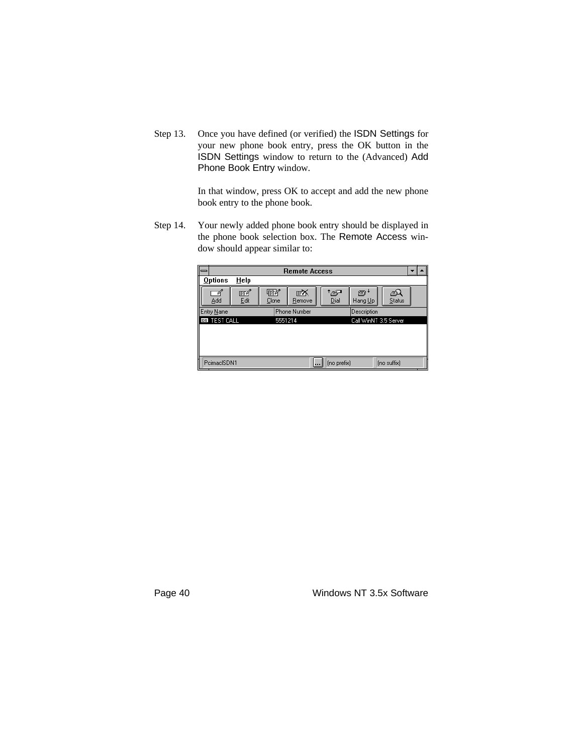Step 13. Once you have defined (or verified) the ISDN Settings for your new phone book entry, press the OK button in the ISDN Settings window to return to the (Advanced) Add Phone Book Entry window.

> In that window, press OK to accept and add the new phone book entry to the phone book.

Step 14. Your newly added phone book entry should be displayed in the phone book selection box. The Remote Access window should appear similar to:

|                   |            | <b>Remote Access</b> |                 |                       |             |  |
|-------------------|------------|----------------------|-----------------|-----------------------|-------------|--|
| Options<br>Help   |            |                      |                 |                       |             |  |
| 巨角<br>Add<br>Edit | F<br>Clone | Γ<br>Remove          | 1 de ja<br>Dial | 187<br>Hang Up        | Status      |  |
| Entry Name        |            | Phone Number         |                 | Description           |             |  |
| EE TEST CALL      | 5551214    |                      |                 | Call WinNT 3.5 Server |             |  |
|                   |            |                      |                 |                       |             |  |
| PeimaelSDN1       |            |                      | (no prefix)     |                       | [no suffix] |  |

Page 40 Windows NT 3.5x Software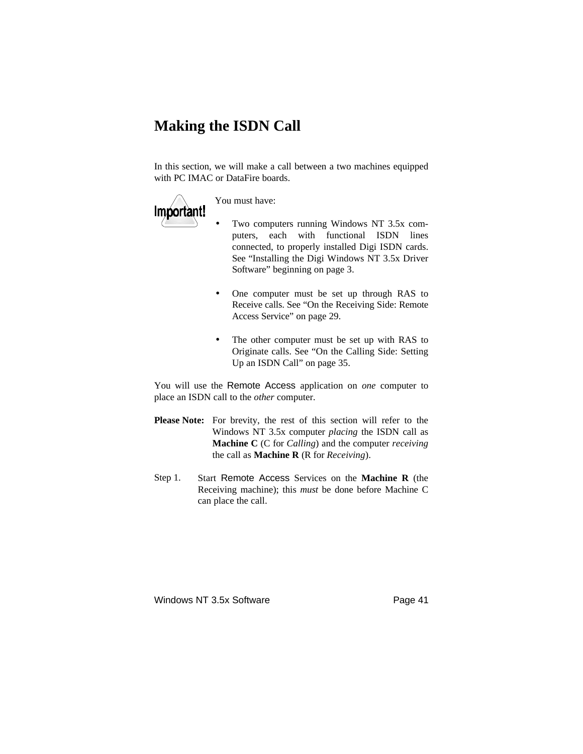## **Making the ISDN Call**

In this section, we will make a call between a two machines equipped with PC IMAC or DataFire boards.



You must have:

- Two computers running Windows NT 3.5x computers, each with functional ISDN lines connected, to properly installed Digi ISDN cards. See "Installing the Digi Windows NT 3.5x Driver Software" beginning on page 3.
- One computer must be set up through RAS to Receive calls. See "On the Receiving Side: Remote Access Service" on page 29.
- The other computer must be set up with RAS to Originate calls. See "On the Calling Side: Setting Up an ISDN Call" on page 35.

You will use the Remote Access application on *one* computer to place an ISDN call to the *other* computer.

- **Please Note:** For brevity, the rest of this section will refer to the Windows NT 3.5x computer *placing* the ISDN call as **Machine C** (C for *Calling*) and the computer *receiving* the call as **Machine R** (R for *Receiving*).
- Step 1. Start Remote Access Services on the **Machine R** (the Receiving machine); this *must* be done before Machine C can place the call.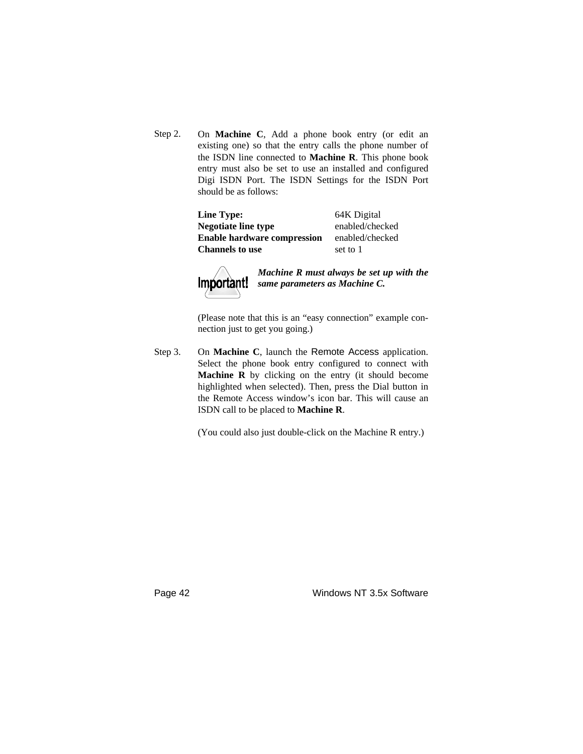Step 2. On **Machine C**, Add a phone book entry (or edit an existing one) so that the entry calls the phone number of the ISDN line connected to **Machine R**. This phone book entry must also be set to use an installed and configured Digi ISDN Port. The ISDN Settings for the ISDN Port should be as follows:

| Line Type:                         | 64K Digital     |
|------------------------------------|-----------------|
| Negotiate line type                | enabled/checked |
| <b>Enable hardware compression</b> | enabled/checked |
| <b>Channels to use</b>             | set to 1        |



*Machine R must always be set up with the same parameters as Machine C.*

(Please note that this is an "easy connection" example connection just to get you going.)

Step 3. On **Machine C**, launch the Remote Access application. Select the phone book entry configured to connect with **Machine R** by clicking on the entry (it should become highlighted when selected). Then, press the Dial button in the Remote Access window's icon bar. This will cause an ISDN call to be placed to **Machine R**.

(You could also just double-click on the Machine R entry.)

Page 42 Windows NT 3.5x Software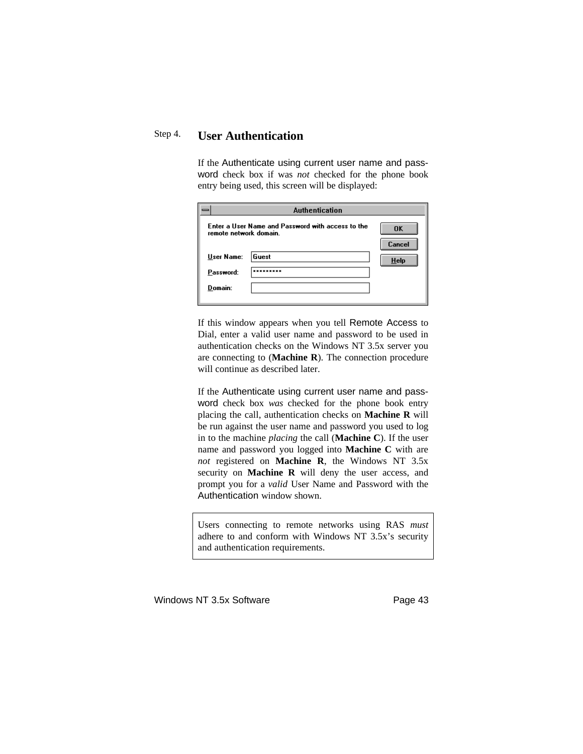## Step 4. **User Authentication**

If the Authenticate using current user name and password check box if was *not* checked for the phone book entry being used, this screen will be displayed:

|            | <b>Authentication</b>                                                                    |      |  |  |  |  |
|------------|------------------------------------------------------------------------------------------|------|--|--|--|--|
|            | Enter a User Name and Password with access to the<br><b>OK</b><br>remote network domain. |      |  |  |  |  |
|            | <b>Cancel</b>                                                                            |      |  |  |  |  |
| User Name: | Guest                                                                                    | Help |  |  |  |  |
| Password:  | *********                                                                                |      |  |  |  |  |
| Domain:    |                                                                                          |      |  |  |  |  |
|            |                                                                                          |      |  |  |  |  |

If this window appears when you tell Remote Access to Dial, enter a valid user name and password to be used in authentication checks on the Windows NT 3.5x server you are connecting to (**Machine R**). The connection procedure will continue as described later.

If the Authenticate using current user name and password check box *was* checked for the phone book entry placing the call, authentication checks on **Machine R** will be run against the user name and password you used to log in to the machine *placing* the call (**Machine C**). If the user name and password you logged into **Machine C** with are *not* registered on **Machine R**, the Windows NT 3.5x security on **Machine R** will deny the user access, and prompt you for a *valid* User Name and Password with the Authentication window shown.

Users connecting to remote networks using RAS *must* adhere to and conform with Windows NT 3.5x's security and authentication requirements.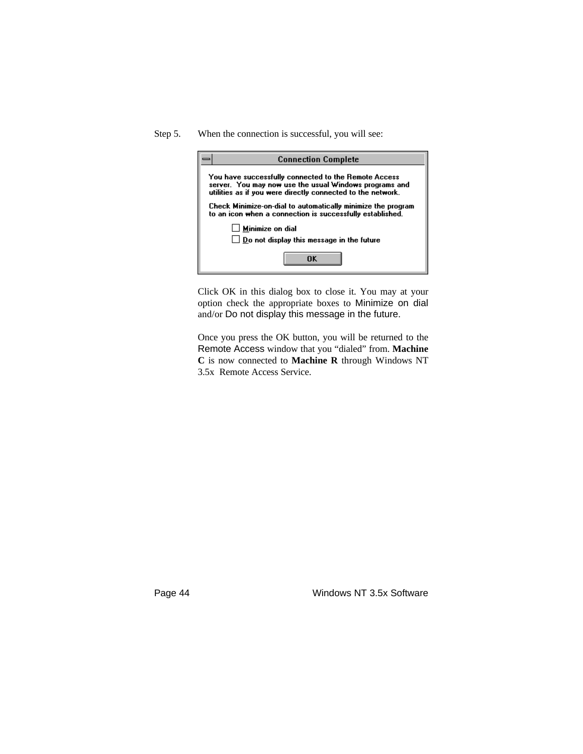#### Step 5. When the connection is successful, you will see:

| <b>Connection Complete</b>                                                                                                                                                    |  |  |  |
|-------------------------------------------------------------------------------------------------------------------------------------------------------------------------------|--|--|--|
| You have successfully connected to the Remote Access<br>server. You may now use the usual Windows programs and<br>utilities as if you were directly connected to the network. |  |  |  |
| Check Minimize-on-dial to automatically minimize the program<br>to an icon when a connection is successfully established.                                                     |  |  |  |
| $\Box$ Minimize on dial                                                                                                                                                       |  |  |  |
| $\Box$ Do not display this message in the future                                                                                                                              |  |  |  |
| ΠK                                                                                                                                                                            |  |  |  |

Click OK in this dialog box to close it. You may at your option check the appropriate boxes to Minimize on dial and/or Do not display this message in the future.

Once you press the OK button, you will be returned to the Remote Access window that you "dialed" from. **Machine C** is now connected to **Machine R** through Windows NT 3.5x Remote Access Service.

Page 44 Windows NT 3.5x Software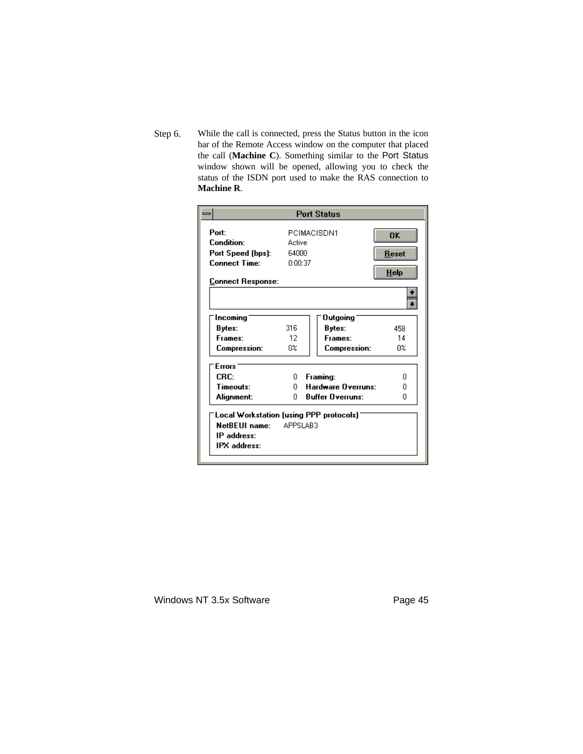Step 6. While the call is connected, press the Status button in the icon bar of the Remote Access window on the computer that placed the call (**Machine C**). Something similar to the Port Status window shown will be opened, allowing you to check the status of the ISDN port used to make the RAS connection to **Machine R**.

|                                                                                                                | <b>Port Status</b>                        |                                                           |                                   |  |
|----------------------------------------------------------------------------------------------------------------|-------------------------------------------|-----------------------------------------------------------|-----------------------------------|--|
| Port:<br>Condition:<br>Port Speed (bps):<br><b>Connect Time:</b><br><b>Connect Response:</b>                   | PCIMACISDN1<br>Active<br>64000<br>0:00:37 |                                                           | <b>OK</b><br><b>Reset</b><br>Help |  |
|                                                                                                                |                                           |                                                           |                                   |  |
| Incoming<br>Bytes:<br><b>Frames:</b>                                                                           | 316<br>12<br>O%                           | Outgoing<br>Bytes:<br>Frames:                             | 458<br>14<br>O%                   |  |
| <b>Compression:</b><br>Errors <sup>*</sup>                                                                     |                                           | <b>Compression:</b>                                       |                                   |  |
| CRC:<br>Timeouts:<br>Alignment:                                                                                | n.<br>n.<br>n.                            | Framing:<br>Hardware Overruns:<br><b>Buffer Overruns:</b> | n<br>n<br>n                       |  |
| <b>Local Workstation (using PPP protocols)</b><br><b>NetBEUI name:</b> APPSLAB3<br>IP address:<br>IPX address: |                                           |                                                           |                                   |  |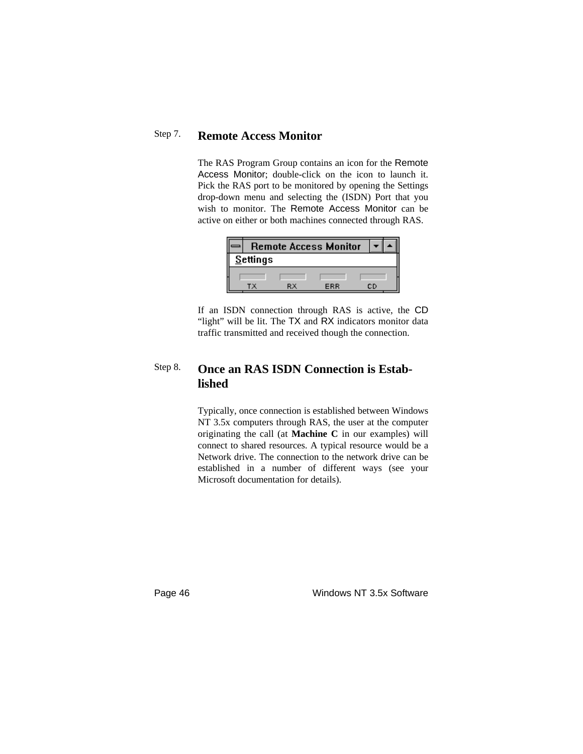## Step 7. **Remote Access Monitor**

The RAS Program Group contains an icon for the Remote Access Monitor; double-click on the icon to launch it. Pick the RAS port to be monitored by opening the Settings drop-down menu and selecting the (ISDN) Port that you wish to monitor. The Remote Access Monitor can be active on either or both machines connected through RAS.

| <b>Remote Access Monitor</b> |     |     |    |  |
|------------------------------|-----|-----|----|--|
| Settings                     |     |     |    |  |
|                              |     |     |    |  |
| тх                           | RX. | ERR | СD |  |

If an ISDN connection through RAS is active, the CD "light" will be lit. The TX and RX indicators monitor data traffic transmitted and received though the connection.

## Step 8. **Once an RAS ISDN Connection is Established**

Typically, once connection is established between Windows NT 3.5x computers through RAS, the user at the computer originating the call (at **Machine C** in our examples) will connect to shared resources. A typical resource would be a Network drive. The connection to the network drive can be established in a number of different ways (see your Microsoft documentation for details).

Page 46 Windows NT 3.5x Software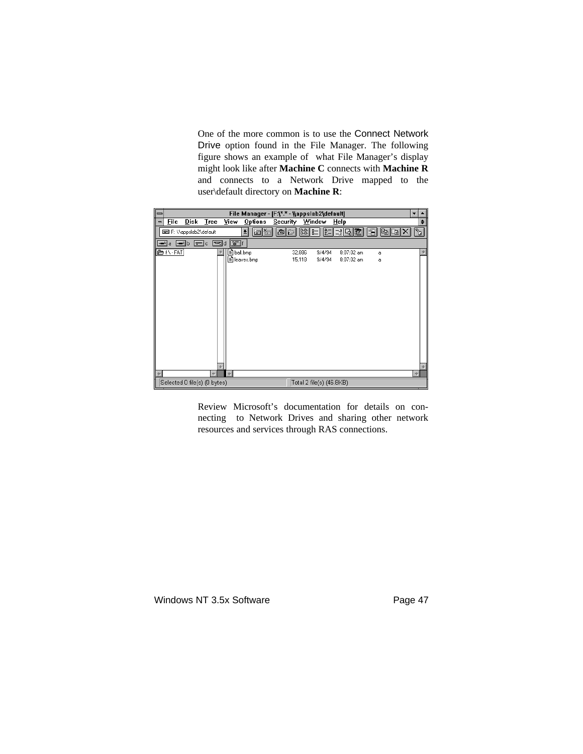One of the more common is to use the Connect Network Drive option found in the File Manager. The following figure shows an example of what File Manager's display might look like after **Machine C** connects with **Machine R** and connects to a Network Drive mapped to the user\default directory on **Machine R**:

|                                        |                        | File Manager - [F:\*.* - \\appslab2\default] |              |   |    |   |
|----------------------------------------|------------------------|----------------------------------------------|--------------|---|----|---|
| File<br>Disk<br>Tree<br>$\blacksquare$ | <b>Options</b><br>View | Security<br>Window                           | Help         |   |    | ÷ |
| E F: \\appslab2\default                | 运险<br>회                | <u>Added a casa a sa</u>                     |              |   | D) |   |
| 4: BI: BI: BI:                         | $\mathbb{E}$           |                                              |              |   |    |   |
| 合fN-FAT                                | al ball.bmp            | 32,886<br>9/4/94                             | $8:07:02$ am | a |    |   |
|                                        | leaves.bmp             | 15,118<br>9/4/94                             | $8:07:02$ am | a |    |   |
|                                        |                        |                                              |              |   |    |   |
|                                        |                        |                                              |              |   |    |   |
|                                        |                        |                                              |              |   |    |   |
|                                        |                        |                                              |              |   |    |   |
|                                        |                        |                                              |              |   |    |   |
|                                        |                        |                                              |              |   |    |   |
|                                        |                        |                                              |              |   |    |   |
|                                        |                        |                                              |              |   |    |   |
|                                        |                        |                                              |              |   |    |   |
|                                        |                        |                                              |              |   |    |   |
|                                        | $rac{1}{2}$            |                                              |              |   | *  |   |
| Selected 0 file(s) (0 bytes)           |                        | Total 2 file(s) (46.8KB)                     |              |   |    |   |

Review Microsoft's documentation for details on connecting to Network Drives and sharing other network resources and services through RAS connections.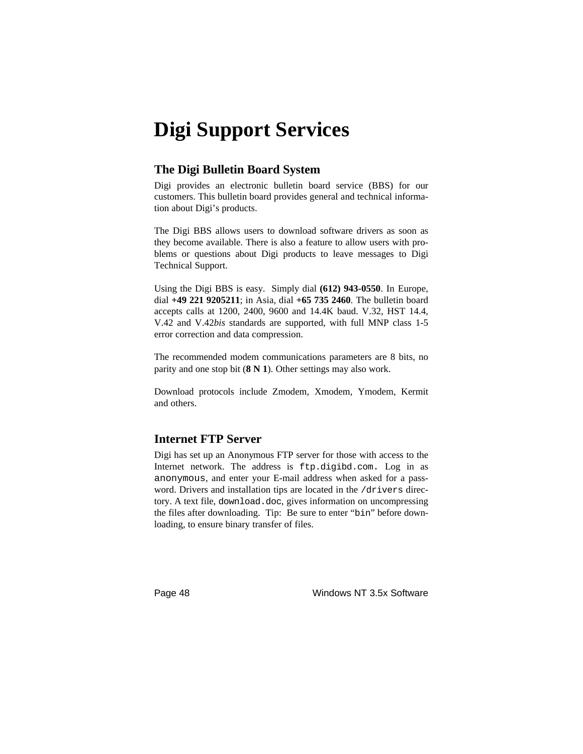# **Digi Support Services**

### **The Digi Bulletin Board System**

Digi provides an electronic bulletin board service (BBS) for our customers. This bulletin board provides general and technical information about Digi's products.

The Digi BBS allows users to download software drivers as soon as they become available. There is also a feature to allow users with problems or questions about Digi products to leave messages to Digi Technical Support.

Using the Digi BBS is easy. Simply dial **(612) 943-0550**. In Europe, dial **+49 221 9205211**; in Asia, dial **+65 735 2460**. The bulletin board accepts calls at 1200, 2400, 9600 and 14.4K baud. V.32, HST 14.4, V.42 and V.42*bis* standards are supported, with full MNP class 1-5 error correction and data compression.

The recommended modem communications parameters are 8 bits, no parity and one stop bit (**8 N 1**). Other settings may also work.

Download protocols include Zmodem, Xmodem, Ymodem, Kermit and others.

### **Internet FTP Server**

Digi has set up an Anonymous FTP server for those with access to the Internet network. The address is ftp.digibd.com. Log in as anonymous, and enter your E-mail address when asked for a password. Drivers and installation tips are located in the /drivers directory. A text file, download.doc, gives information on uncompressing the files after downloading. Tip: Be sure to enter "bin" before downloading, to ensure binary transfer of files.

Page 48 Windows NT 3.5x Software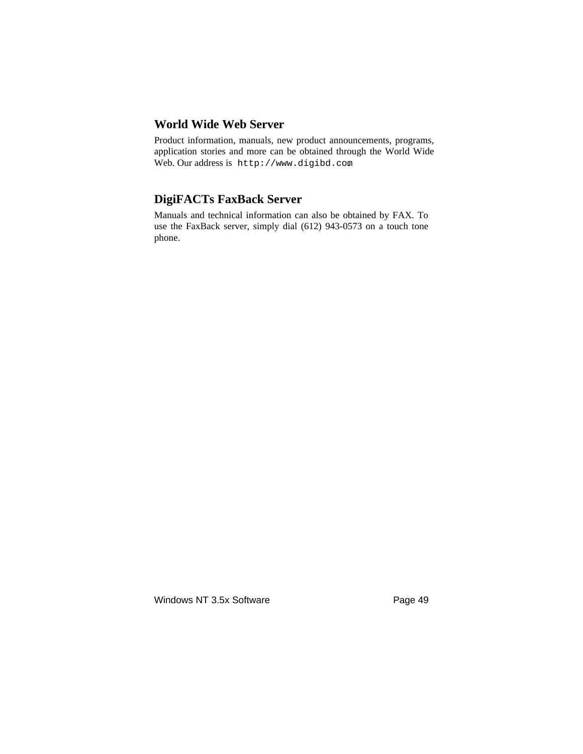## **World Wide Web Server**

Product information, manuals, new product announcements, programs, application stories and more can be obtained through the World Wide Web. Our address is http://www.digibd.com.

## **DigiFACTs FaxBack Server**

Manuals and technical information can also be obtained by FAX. To use the FaxBack server, simply dial (612) 943-0573 on a touch tone phone.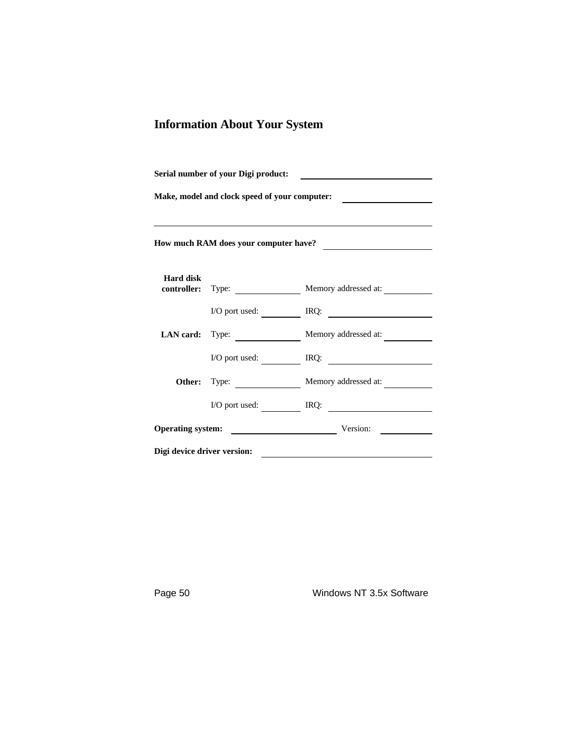## **Information About Your System**

| Serial number of your Digi product:<br><u> 1989 - Johann Stein, mars an de Frankrik en fan de Frankrik fan de Frankrik fan de Frankrik fan de Frankrik</u> |                             |                                                     |  |  |
|------------------------------------------------------------------------------------------------------------------------------------------------------------|-----------------------------|-----------------------------------------------------|--|--|
| Make, model and clock speed of your computer:                                                                                                              |                             |                                                     |  |  |
| How much RAM does your computer have?                                                                                                                      |                             |                                                     |  |  |
| <b>Hard disk</b>                                                                                                                                           |                             | controller: Type: Memory addressed at:              |  |  |
|                                                                                                                                                            |                             | I/O port used: IRQ:                                 |  |  |
|                                                                                                                                                            |                             | LAN card: Type: Memory addressed at:                |  |  |
|                                                                                                                                                            |                             | I/O port used: IRQ:                                 |  |  |
|                                                                                                                                                            |                             | Other: Type: Memory addressed at:                   |  |  |
|                                                                                                                                                            |                             | $I/O$ port used: $\qquad \qquad \qquad \text{IRQ:}$ |  |  |
|                                                                                                                                                            |                             | Operating system: Version:                          |  |  |
|                                                                                                                                                            | Digi device driver version: |                                                     |  |  |

Page 50 Windows NT 3.5x Software